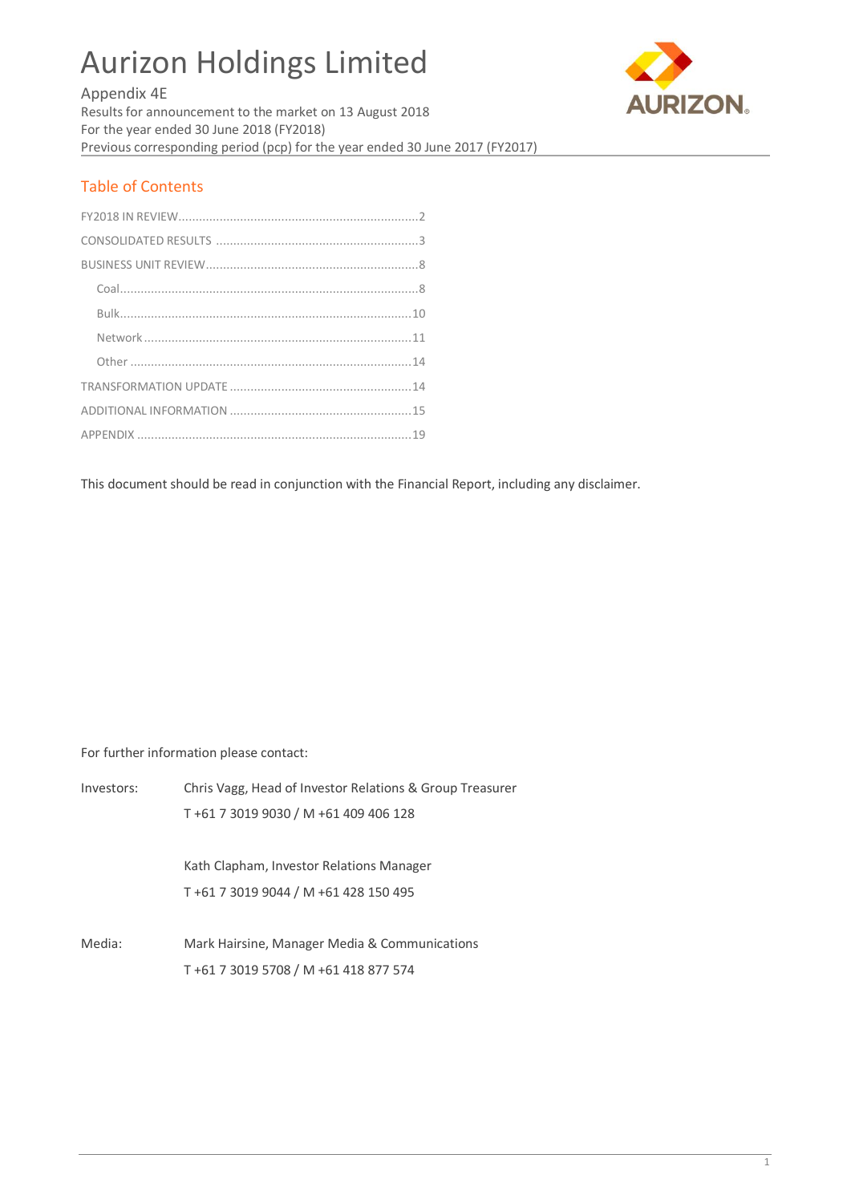# Aurizon Holdings Limited



Appendix 4E

Results for announcement to the market on 13 August 2018 For the year ended 30 June 2018 (FY2018) Previous corresponding period (pcp) for the year ended 30 June 2017 (FY2017)

# Table of Contents

This document should be read in conjunction with the Financial Report, including any disclaimer.

For further information please contact:

| Investors: | Chris Vagg, Head of Investor Relations & Group Treasurer |
|------------|----------------------------------------------------------|
|            | T+61 7 3019 9030 / M +61 409 406 128                     |
|            | Kath Clapham, Investor Relations Manager                 |
|            | T +61 7 3019 9044 / M +61 428 150 495                    |
| Media:     | Mark Hairsine, Manager Media & Communications            |
|            | T+61 7 3019 5708 / M +61 418 877 574                     |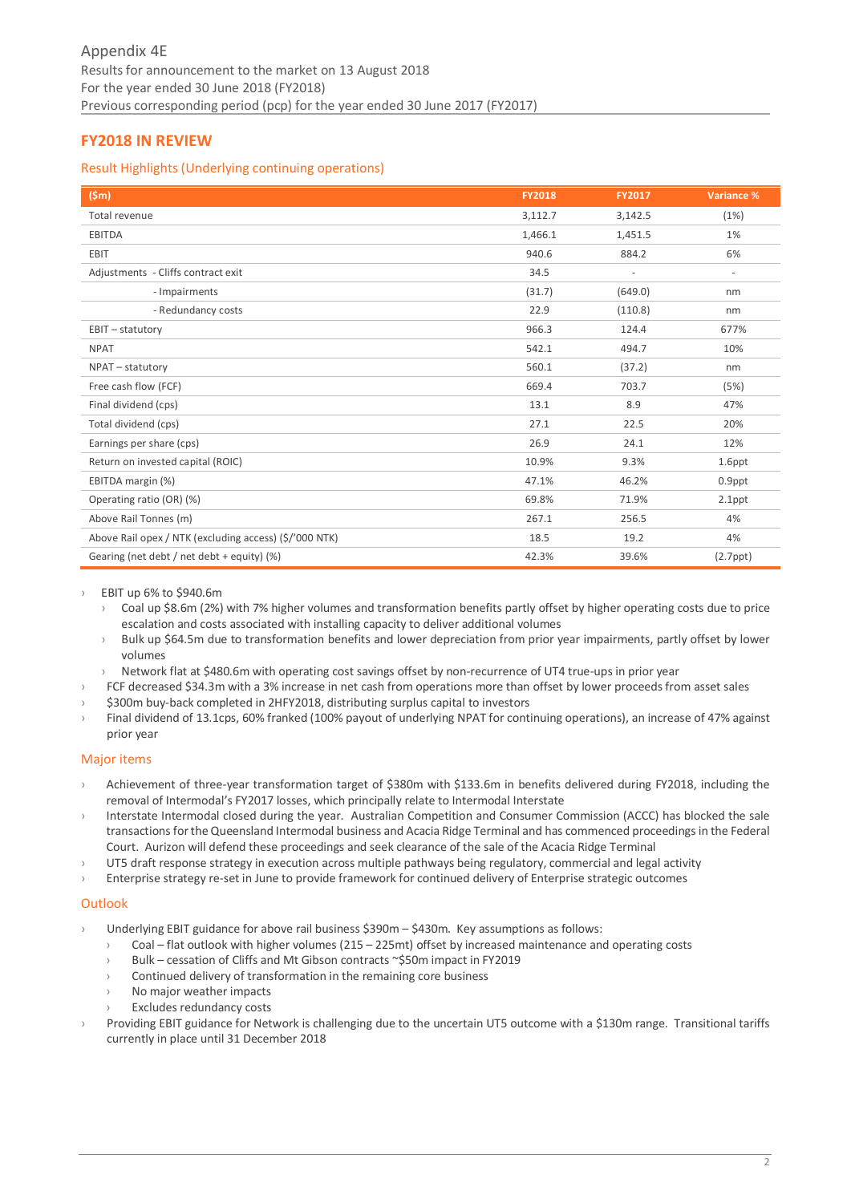# <span id="page-1-0"></span>**FY2018 IN REVIEW**

## Result Highlights (Underlying continuing operations)

| (Sm)                                                   | <b>FY2018</b> | <b>FY2017</b>            | Variance %     |
|--------------------------------------------------------|---------------|--------------------------|----------------|
| Total revenue                                          | 3,112.7       | 3,142.5                  | (1%)           |
| <b>EBITDA</b>                                          | 1,466.1       | 1,451.5                  | 1%             |
| <b>EBIT</b>                                            | 940.6         | 884.2                    | 6%             |
| Adjustments - Cliffs contract exit                     | 34.5          | $\overline{\phantom{a}}$ | $\sim$         |
| - Impairments                                          | (31.7)        | (649.0)                  | nm             |
| - Redundancy costs                                     | 22.9          | (110.8)                  | nm             |
| EBIT - statutory                                       | 966.3         | 124.4                    | 677%           |
| <b>NPAT</b>                                            | 542.1         | 494.7                    | 10%            |
| NPAT - statutory                                       | 560.1         | (37.2)                   | nm             |
| Free cash flow (FCF)                                   | 669.4         | 703.7                    | (5%)           |
| Final dividend (cps)                                   | 13.1          | 8.9                      | 47%            |
| Total dividend (cps)                                   | 27.1          | 22.5                     | 20%            |
| Earnings per share (cps)                               | 26.9          | 24.1                     | 12%            |
| Return on invested capital (ROIC)                      | 10.9%         | 9.3%                     | 1.6ppt         |
| EBITDA margin (%)                                      | 47.1%         | 46.2%                    | 0.9ppt         |
| Operating ratio (OR) (%)                               | 69.8%         | 71.9%                    | 2.1ppt         |
| Above Rail Tonnes (m)                                  | 267.1         | 256.5                    | 4%             |
| Above Rail opex / NTK (excluding access) (\$/'000 NTK) | 18.5          | 19.2                     | 4%             |
| Gearing (net debt / net debt + equity) (%)             | 42.3%         | 39.6%                    | $(2.7$ ppt $)$ |

› EBIT up 6% to \$940.6m

- › Coal up \$8.6m (2%) with 7% higher volumes and transformation benefits partly offset by higher operating costs due to price escalation and costs associated with installing capacity to deliver additional volumes
- › Bulk up \$64.5m due to transformation benefits and lower depreciation from prior year impairments, partly offset by lower volumes
- Network flat at \$480.6m with operating cost savings offset by non-recurrence of UT4 true-ups in prior year
- › FCF decreased \$34.3m with a 3% increase in net cash from operations more than offset by lower proceeds from asset sales
- \$300m buy-back completed in 2HFY2018, distributing surplus capital to investors
- Final dividend of 13.1cps, 60% franked (100% payout of underlying NPAT for continuing operations), an increase of 47% against prior year

## Major items

- › Achievement of three-year transformation target of \$380m with \$133.6m in benefits delivered during FY2018, including the removal of Intermodal's FY2017 losses, which principally relate to Intermodal Interstate
- Interstate Intermodal closed during the year. Australian Competition and Consumer Commission (ACCC) has blocked the sale transactions for the Queensland Intermodal business and Acacia Ridge Terminal and has commenced proceedings in the Federal Court. Aurizon will defend these proceedings and seek clearance of the sale of the Acacia Ridge Terminal
- › UT5 draft response strategy in execution across multiple pathways being regulatory, commercial and legal activity
- Enterprise strategy re-set in June to provide framework for continued delivery of Enterprise strategic outcomes

#### **Outlook**

- Underlying EBIT guidance for above rail business \$390m \$430m. Key assumptions as follows:
	- Coal flat outlook with higher volumes (215 225mt) offset by increased maintenance and operating costs
	- Bulk cessation of Cliffs and Mt Gibson contracts ~\$50m impact in FY2019
	- Continued delivery of transformation in the remaining core business
	- No major weather impacts
	- Excludes redundancy costs
- Providing EBIT guidance for Network is challenging due to the uncertain UT5 outcome with a \$130m range. Transitional tariffs currently in place until 31 December 2018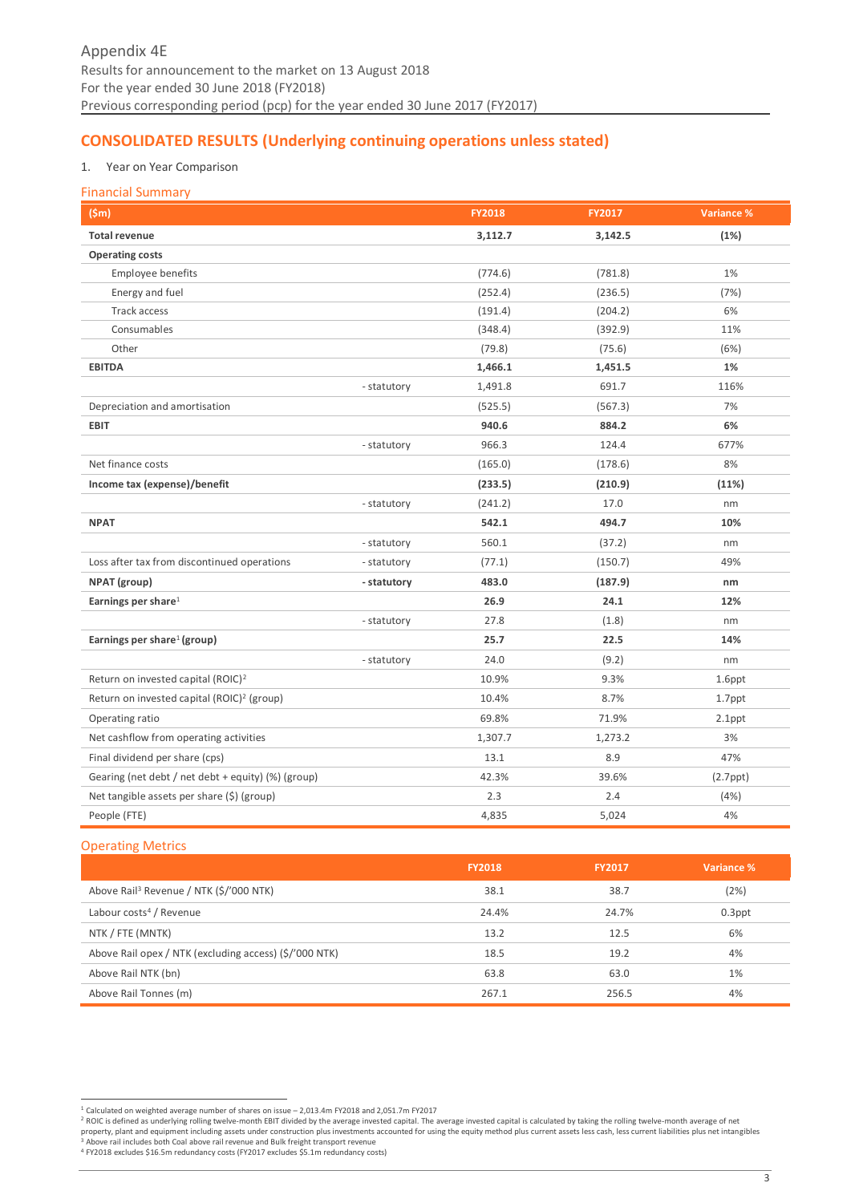# <span id="page-2-0"></span>**CONSOLIDATED RESULTS (Underlying continuing operations unless stated)**

## 1. Year on Year Comparison

#### Financial Summary

| (Sm)                                                   |             | <b>FY2018</b> | FY2017  | Variance %     |
|--------------------------------------------------------|-------------|---------------|---------|----------------|
| <b>Total revenue</b>                                   |             | 3,112.7       | 3,142.5 | (1%)           |
| <b>Operating costs</b>                                 |             |               |         |                |
| Employee benefits                                      |             | (774.6)       | (781.8) | 1%             |
| Energy and fuel                                        |             | (252.4)       | (236.5) | (7%)           |
| <b>Track access</b>                                    |             | (191.4)       | (204.2) | 6%             |
| Consumables                                            |             | (348.4)       | (392.9) | 11%            |
| Other                                                  |             | (79.8)        | (75.6)  | (6%)           |
| <b>EBITDA</b>                                          |             | 1,466.1       | 1,451.5 | 1%             |
|                                                        | - statutory | 1,491.8       | 691.7   | 116%           |
| Depreciation and amortisation                          |             | (525.5)       | (567.3) | 7%             |
| <b>EBIT</b>                                            |             | 940.6         | 884.2   | 6%             |
|                                                        | - statutory | 966.3         | 124.4   | 677%           |
| Net finance costs                                      |             | (165.0)       | (178.6) | 8%             |
| Income tax (expense)/benefit                           |             | (233.5)       | (210.9) | (11%)          |
|                                                        | - statutory | (241.2)       | 17.0    | nm             |
| <b>NPAT</b>                                            |             | 542.1         | 494.7   | 10%            |
|                                                        | - statutory | 560.1         | (37.2)  | nm             |
| Loss after tax from discontinued operations            | - statutory | (77.1)        | (150.7) | 49%            |
| NPAT (group)                                           | - statutory | 483.0         | (187.9) | nm             |
| Earnings per share <sup>1</sup>                        |             | 26.9          | 24.1    | 12%            |
|                                                        | - statutory | 27.8          | (1.8)   | nm             |
| Earnings per share <sup>1</sup> (group)                |             | 25.7          | 22.5    | 14%            |
|                                                        | - statutory | 24.0          | (9.2)   | nm             |
| Return on invested capital (ROIC) <sup>2</sup>         |             | 10.9%         | 9.3%    | 1.6ppt         |
| Return on invested capital (ROIC) <sup>2</sup> (group) |             | 10.4%         | 8.7%    | 1.7ppt         |
| Operating ratio                                        |             | 69.8%         | 71.9%   | $2.1$ ppt      |
| Net cashflow from operating activities                 |             | 1,307.7       | 1,273.2 | 3%             |
| Final dividend per share (cps)                         |             | 13.1          | 8.9     | 47%            |
| Gearing (net debt / net debt + equity) (%) (group)     |             | 42.3%         | 39.6%   | $(2.7$ ppt $)$ |
| Net tangible assets per share (\$) (group)             |             | 2.3           | 2.4     | (4% )          |
| People (FTE)                                           |             | 4,835         | 5,024   | 4%             |

#### Operating Metrics

|                                                        | <b>FY2018</b> | <b>FY2017</b> | Variance % |
|--------------------------------------------------------|---------------|---------------|------------|
| Above Rail <sup>3</sup> Revenue / NTK (\$/'000 NTK)    | 38.1          | 38.7          | (2%)       |
| Labour costs <sup>4</sup> / Revenue                    | 24.4%         | 24.7%         | $0.3$ ppt  |
| NTK / FTE (MNTK)                                       | 13.2          | 12.5          | 6%         |
| Above Rail opex / NTK (excluding access) (\$/'000 NTK) | 18.5          | 19.2          | 4%         |
| Above Rail NTK (bn)                                    | 63.8          | 63.0          | 1%         |
| Above Rail Tonnes (m)                                  | 267.1         | 256.5         | 4%         |

<sup>-&</sup>lt;br><sup>1</sup> Calculated on weighted average number of shares on issue – 2,013.4m FY2018 and 2,051.7m FY2017<br><sup>2</sup> ROIC is defined as underlying rolling twelve-month EBIT divided by the average invested capital is calculated by taki <sup>3</sup> Above rail includes both Coal above rail revenue and Bulk freight transport revenue

<sup>4</sup> FY2018 excludes \$16.5m redundancy costs (FY2017 excludes \$5.1m redundancy costs)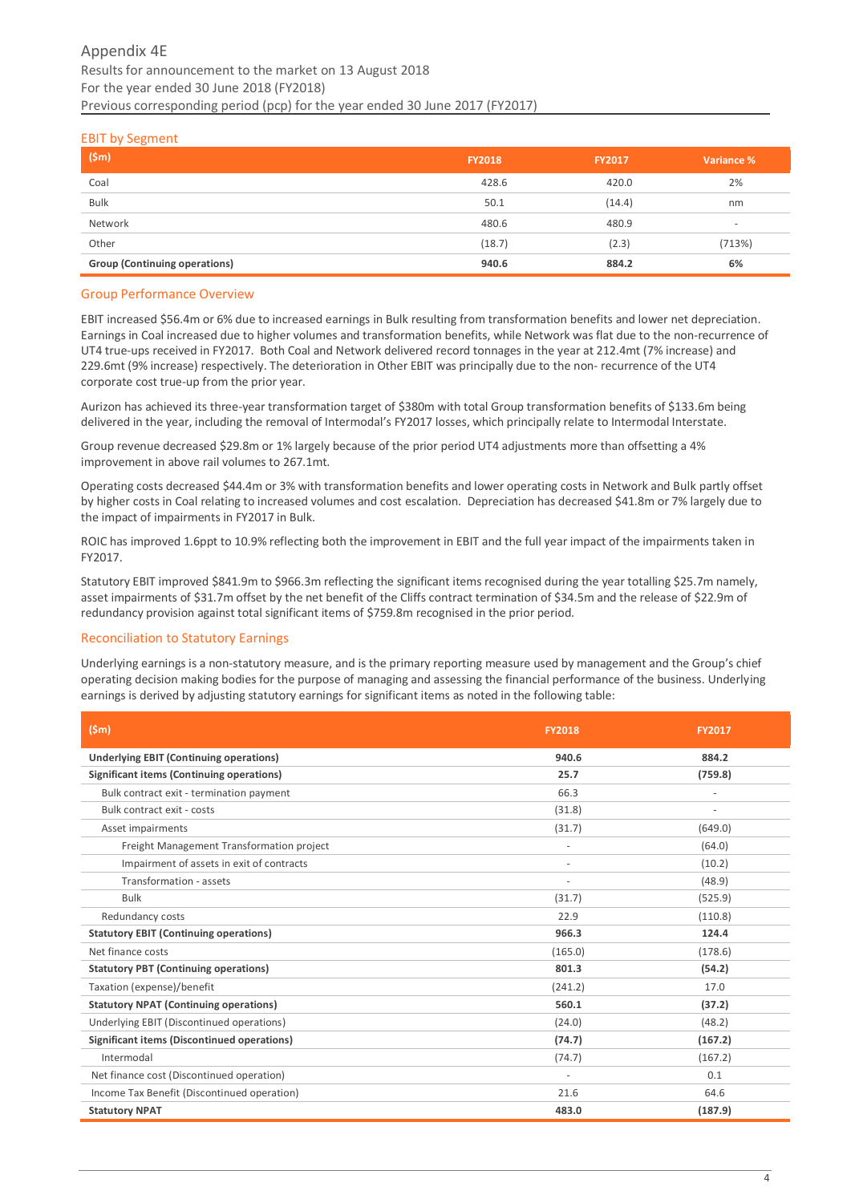#### EBIT by Segment

| (5m)                                 | <b>FY2018</b> | <b>FY2017</b> | Variance % |
|--------------------------------------|---------------|---------------|------------|
| Coal                                 | 428.6         | 420.0         | 2%         |
| <b>Bulk</b>                          | 50.1          | (14.4)        | nm         |
| Network                              | 480.6         | 480.9         | -          |
| Other                                | (18.7)        | (2.3)         | (713%)     |
| <b>Group (Continuing operations)</b> | 940.6         | 884.2         | 6%         |

#### Group Performance Overview

EBIT increased \$56.4m or 6% due to increased earnings in Bulk resulting from transformation benefits and lower net depreciation. Earnings in Coal increased due to higher volumes and transformation benefits, while Network was flat due to the non-recurrence of UT4 true-ups received in FY2017. Both Coal and Network delivered record tonnages in the year at 212.4mt (7% increase) and 229.6mt (9% increase) respectively. The deterioration in Other EBIT was principally due to the non- recurrence of the UT4 corporate cost true-up from the prior year.

Aurizon has achieved its three-year transformation target of \$380m with total Group transformation benefits of \$133.6m being delivered in the year, including the removal of Intermodal's FY2017 losses, which principally relate to Intermodal Interstate.

Group revenue decreased \$29.8m or 1% largely because of the prior period UT4 adjustments more than offsetting a 4% improvement in above rail volumes to 267.1mt.

Operating costs decreased \$44.4m or 3% with transformation benefits and lower operating costs in Network and Bulk partly offset by higher costs in Coal relating to increased volumes and cost escalation. Depreciation has decreased \$41.8m or 7% largely due to the impact of impairments in FY2017 in Bulk.

ROIC has improved 1.6ppt to 10.9% reflecting both the improvement in EBIT and the full year impact of the impairments taken in FY2017.

Statutory EBIT improved \$841.9m to \$966.3m reflecting the significant items recognised during the year totalling \$25.7m namely, asset impairments of \$31.7m offset by the net benefit of the Cliffs contract termination of \$34.5m and the release of \$22.9m of redundancy provision against total significant items of \$759.8m recognised in the prior period.

## Reconciliation to Statutory Earnings

Underlying earnings is a non-statutory measure, and is the primary reporting measure used by management and the Group's chief operating decision making bodies for the purpose of managing and assessing the financial performance of the business. Underlying earnings is derived by adjusting statutory earnings for significant items as noted in the following table:

| (Sm)                                               | <b>FY2018</b>  | <b>FY2017</b> |
|----------------------------------------------------|----------------|---------------|
| <b>Underlying EBIT (Continuing operations)</b>     | 940.6          | 884.2         |
| Significant items (Continuing operations)          | 25.7           | (759.8)       |
| Bulk contract exit - termination payment           | 66.3           | ٠             |
| Bulk contract exit - costs                         | (31.8)         |               |
| Asset impairments                                  | (31.7)         | (649.0)       |
| Freight Management Transformation project          | $\overline{a}$ | (64.0)        |
| Impairment of assets in exit of contracts          |                | (10.2)        |
| Transformation - assets                            |                | (48.9)        |
| <b>Bulk</b>                                        | (31.7)         | (525.9)       |
| Redundancy costs                                   | 22.9           | (110.8)       |
| <b>Statutory EBIT (Continuing operations)</b>      | 966.3          | 124.4         |
| Net finance costs                                  | (165.0)        | (178.6)       |
| <b>Statutory PBT (Continuing operations)</b>       | 801.3          | (54.2)        |
| Taxation (expense)/benefit                         | (241.2)        | 17.0          |
| <b>Statutory NPAT (Continuing operations)</b>      | 560.1          | (37.2)        |
| Underlying EBIT (Discontinued operations)          | (24.0)         | (48.2)        |
| <b>Significant items (Discontinued operations)</b> | (74.7)         | (167.2)       |
| Intermodal                                         | (74.7)         | (167.2)       |
| Net finance cost (Discontinued operation)          |                | 0.1           |
| Income Tax Benefit (Discontinued operation)        | 21.6           | 64.6          |
| <b>Statutory NPAT</b>                              | 483.0          | (187.9)       |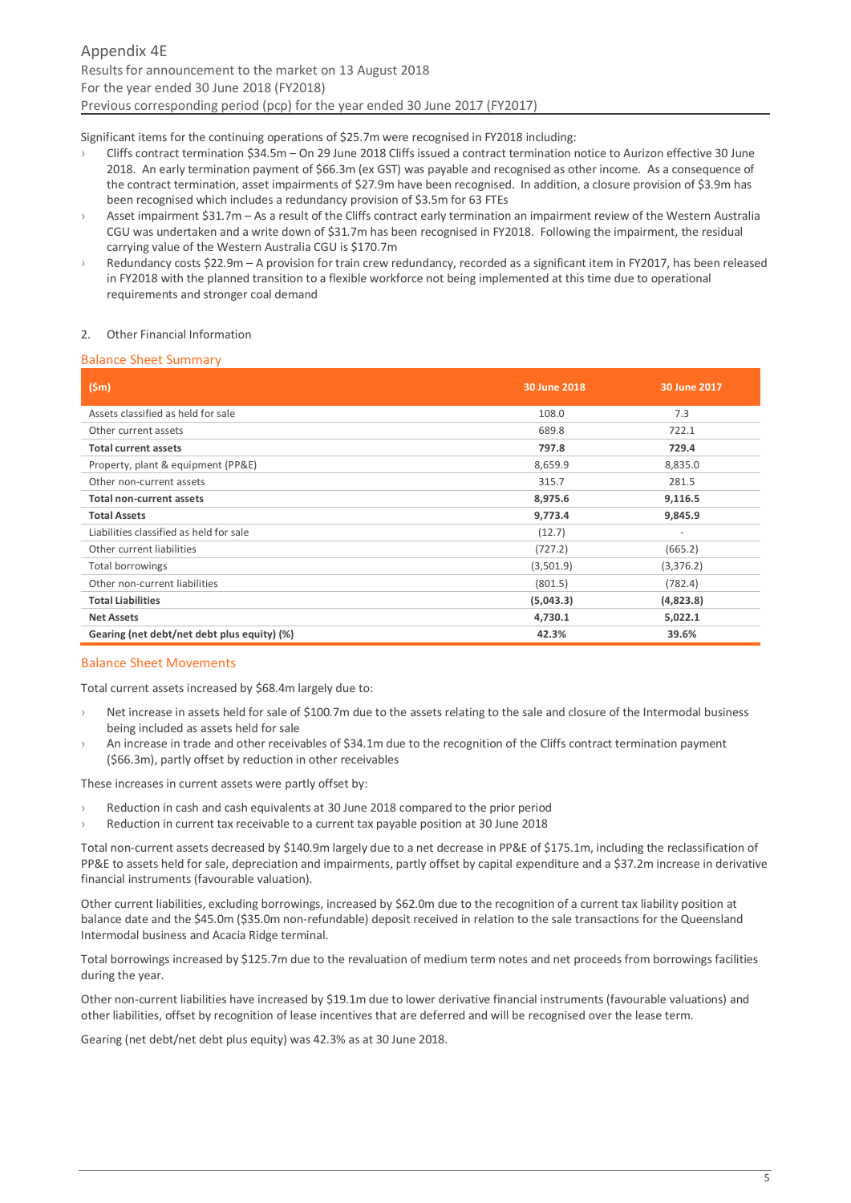Significant items for the continuing operations of \$25.7m were recognised in FY2018 including:

- › Cliffs contract termination \$34.5m On 29 June 2018 Cliffs issued a contract termination notice to Aurizon effective 30 June 2018. An early termination payment of \$66.3m (ex GST) was payable and recognised as other income. As a consequence of the contract termination, asset impairments of \$27.9m have been recognised. In addition, a closure provision of \$3.9m has been recognised which includes a redundancy provision of \$3.5m for 63 FTEs
- Asset impairment \$31.7m As a result of the Cliffs contract early termination an impairment review of the Western Australia CGU was undertaken and a write down of \$31.7m has been recognised in FY2018. Following the impairment, the residual carrying value of the Western Australia CGU is \$170.7m
- Redundancy costs \$22.9m A provision for train crew redundancy, recorded as a significant item in FY2017, has been released in FY2018 with the planned transition to a flexible workforce not being implemented at this time due to operational requirements and stronger coal demand

#### 2. Other Financial Information

#### Balance Sheet Summary

| (Sm)                                        | 30 June 2018 | 30 June 2017             |
|---------------------------------------------|--------------|--------------------------|
| Assets classified as held for sale          | 108.0        | 7.3                      |
| Other current assets                        | 689.8        | 722.1                    |
| <b>Total current assets</b>                 | 797.8        | 729.4                    |
| Property, plant & equipment (PP&E)          | 8,659.9      | 8,835.0                  |
| Other non-current assets                    | 315.7        | 281.5                    |
| <b>Total non-current assets</b>             | 8,975.6      | 9,116.5                  |
| <b>Total Assets</b>                         | 9,773.4      | 9,845.9                  |
| Liabilities classified as held for sale     | (12.7)       | $\overline{\phantom{a}}$ |
| Other current liabilities                   | (727.2)      | (665.2)                  |
| Total borrowings                            | (3,501.9)    | (3,376.2)                |
| Other non-current liabilities               | (801.5)      | (782.4)                  |
| <b>Total Liabilities</b>                    | (5,043.3)    | (4,823.8)                |
| <b>Net Assets</b>                           | 4,730.1      | 5,022.1                  |
| Gearing (net debt/net debt plus equity) (%) | 42.3%        | 39.6%                    |

#### Balance Sheet Movements

Total current assets increased by \$68.4m largely due to:

- Net increase in assets held for sale of \$100.7m due to the assets relating to the sale and closure of the Intermodal business being included as assets held for sale
- An increase in trade and other receivables of \$34.1m due to the recognition of the Cliffs contract termination payment (\$66.3m), partly offset by reduction in other receivables

These increases in current assets were partly offset by:

- Reduction in cash and cash equivalents at 30 June 2018 compared to the prior period
- › Reduction in current tax receivable to a current tax payable position at 30 June 2018

Total non-current assets decreased by \$140.9m largely due to a net decrease in PP&E of \$175.1m, including the reclassification of PP&E to assets held for sale, depreciation and impairments, partly offset by capital expenditure and a \$37.2m increase in derivative financial instruments (favourable valuation).

Other current liabilities, excluding borrowings, increased by \$62.0m due to the recognition of a current tax liability position at balance date and the \$45.0m (\$35.0m non-refundable) deposit received in relation to the sale transactions for the Queensland Intermodal business and Acacia Ridge terminal.

Total borrowings increased by \$125.7m due to the revaluation of medium term notes and net proceeds from borrowings facilities during the year.

Other non-current liabilities have increased by \$19.1m due to lower derivative financial instruments (favourable valuations) and other liabilities, offset by recognition of lease incentives that are deferred and will be recognised over the lease term.

Gearing (net debt/net debt plus equity) was 42.3% as at 30 June 2018.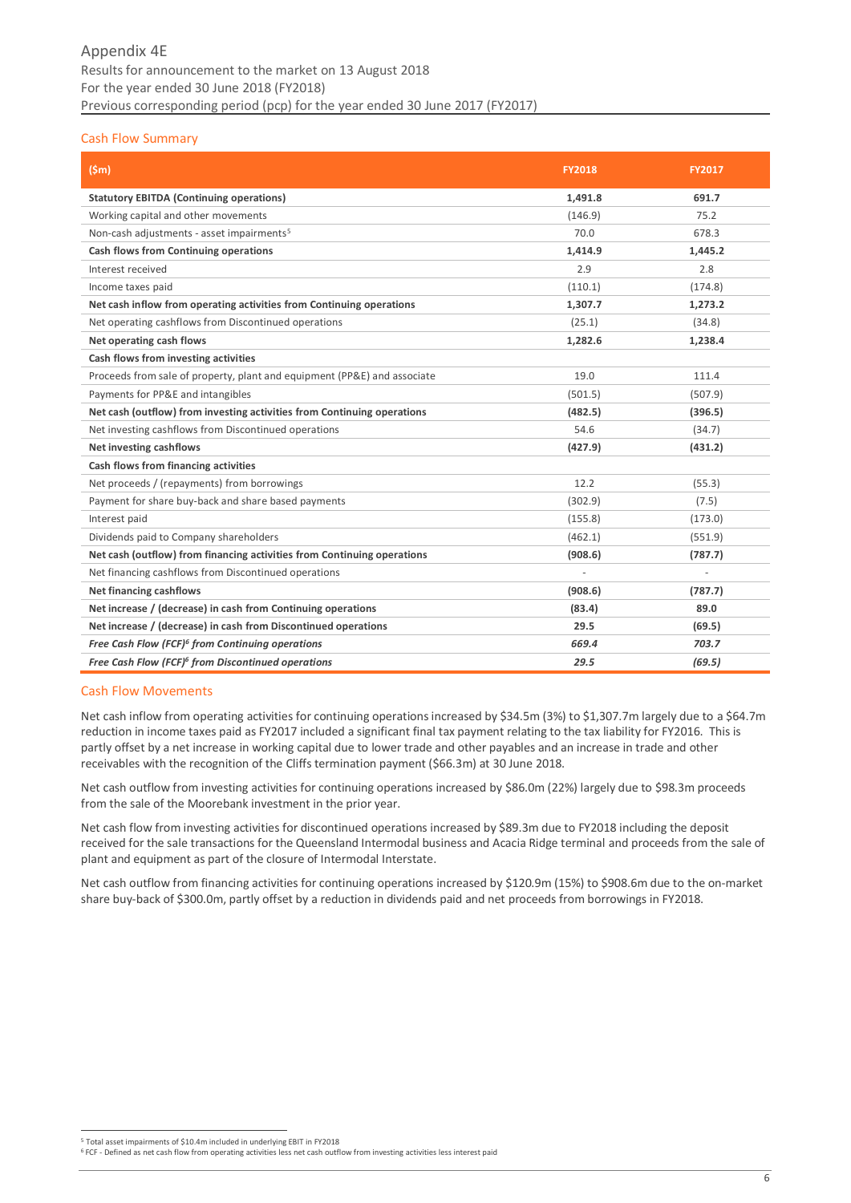## Cash Flow Summary

| (Sm)                                                                     | <b>FY2018</b> | <b>FY2017</b> |
|--------------------------------------------------------------------------|---------------|---------------|
| <b>Statutory EBITDA (Continuing operations)</b>                          | 1,491.8       | 691.7         |
| Working capital and other movements                                      | (146.9)       | 75.2          |
| Non-cash adjustments - asset impairments <sup>5</sup>                    | 70.0          | 678.3         |
| Cash flows from Continuing operations                                    | 1,414.9       | 1,445.2       |
| Interest received                                                        | 2.9           | 2.8           |
| Income taxes paid                                                        | (110.1)       | (174.8)       |
| Net cash inflow from operating activities from Continuing operations     | 1,307.7       | 1,273.2       |
| Net operating cashflows from Discontinued operations                     | (25.1)        | (34.8)        |
| Net operating cash flows                                                 | 1,282.6       | 1,238.4       |
| Cash flows from investing activities                                     |               |               |
| Proceeds from sale of property, plant and equipment (PP&E) and associate | 19.0          | 111.4         |
| Payments for PP&E and intangibles                                        | (501.5)       | (507.9)       |
| Net cash (outflow) from investing activities from Continuing operations  | (482.5)       | (396.5)       |
| Net investing cashflows from Discontinued operations                     | 54.6          | (34.7)        |
| <b>Net investing cashflows</b>                                           | (427.9)       | (431.2)       |
| Cash flows from financing activities                                     |               |               |
| Net proceeds / (repayments) from borrowings                              | 12.2          | (55.3)        |
| Payment for share buy-back and share based payments                      | (302.9)       | (7.5)         |
| Interest paid                                                            | (155.8)       | (173.0)       |
| Dividends paid to Company shareholders                                   | (462.1)       | (551.9)       |
| Net cash (outflow) from financing activities from Continuing operations  | (908.6)       | (787.7)       |
| Net financing cashflows from Discontinued operations                     | ÷,            |               |
| <b>Net financing cashflows</b>                                           | (908.6)       | (787.7)       |
| Net increase / (decrease) in cash from Continuing operations             | (83.4)        | 89.0          |
| Net increase / (decrease) in cash from Discontinued operations           | 29.5          | (69.5)        |
| Free Cash Flow (FCF) <sup>6</sup> from Continuing operations             | 669.4         | 703.7         |
| Free Cash Flow (FCF) <sup>6</sup> from Discontinued operations           | 29.5          | (69.5)        |

#### Cash Flow Movements

Net cash inflow from operating activities for continuing operations increased by \$34.5m (3%) to \$1,307.7m largely due to a \$64.7m reduction in income taxes paid as FY2017 included a significant final tax payment relating to the tax liability for FY2016. This is partly offset by a net increase in working capital due to lower trade and other payables and an increase in trade and other receivables with the recognition of the Cliffs termination payment (\$66.3m) at 30 June 2018.

Net cash outflow from investing activities for continuing operations increased by \$86.0m (22%) largely due to \$98.3m proceeds from the sale of the Moorebank investment in the prior year.

Net cash flow from investing activities for discontinued operations increased by \$89.3m due to FY2018 including the deposit received for the sale transactions for the Queensland Intermodal business and Acacia Ridge terminal and proceeds from the sale of plant and equipment as part of the closure of Intermodal Interstate.

Net cash outflow from financing activities for continuing operations increased by \$120.9m (15%) to \$908.6m due to the on-market share buy-back of \$300.0m, partly offset by a reduction in dividends paid and net proceeds from borrowings in FY2018.

<u>.</u> <sup>5</sup> Total asset impairments of \$10.4m included in underlying EBIT in FY2018

<sup>&</sup>lt;sup>6</sup> FCF - Defined as net cash flow from operating activities less net cash outflow from investing activities less interest paid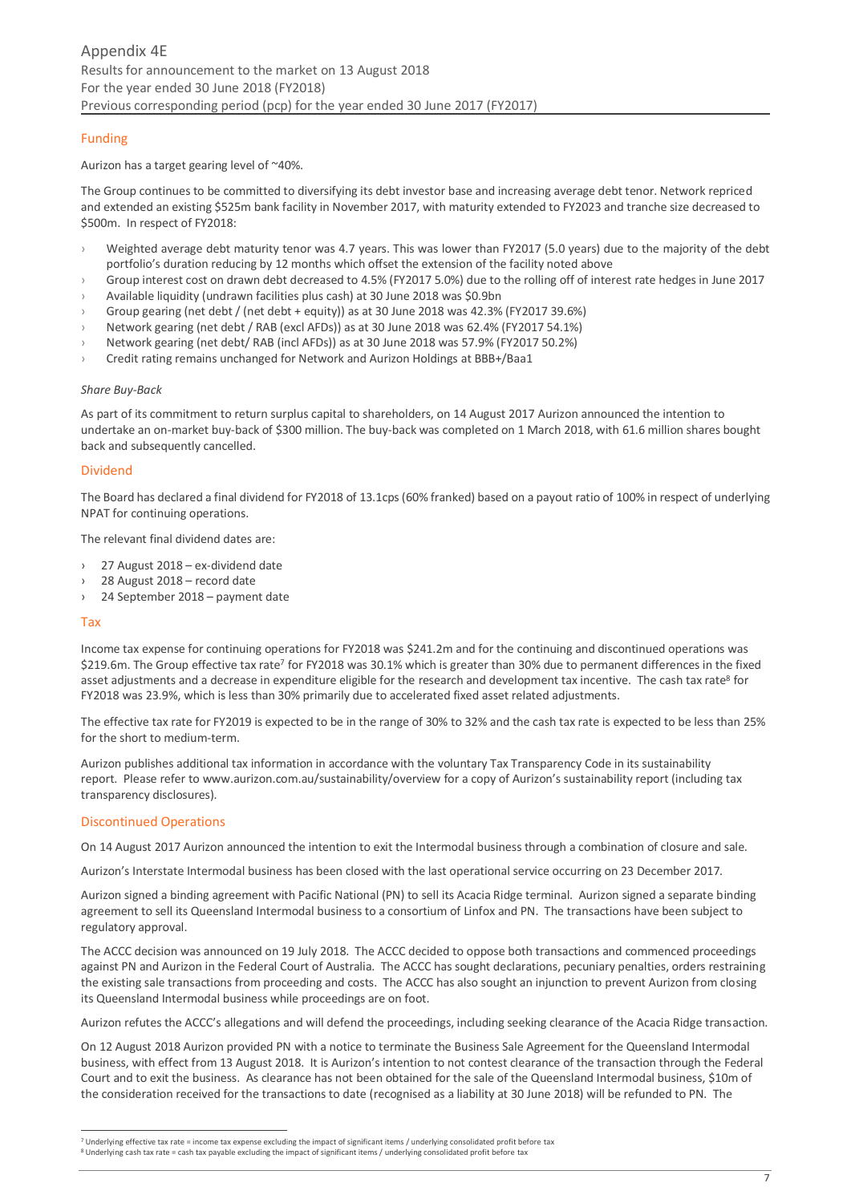## Funding

#### Aurizon has a target gearing level of ~40%.

The Group continues to be committed to diversifying its debt investor base and increasing average debt tenor. Network repriced and extended an existing \$525m bank facility in November 2017, with maturity extended to FY2023 and tranche size decreased to \$500m. In respect of FY2018:

- › Weighted average debt maturity tenor was 4.7 years. This was lower than FY2017 (5.0 years) due to the majority of the debt portfolio's duration reducing by 12 months which offset the extension of the facility noted above
- › Group interest cost on drawn debt decreased to 4.5% (FY2017 5.0%) due to the rolling off of interest rate hedges in June 2017
- Available liquidity (undrawn facilities plus cash) at 30 June 2018 was \$0.9bn
- › Group gearing (net debt / (net debt + equity)) as at 30 June 2018 was 42.3% (FY2017 39.6%)
- › Network gearing (net debt / RAB (excl AFDs)) as at 30 June 2018 was 62.4% (FY2017 54.1%)
- › Network gearing (net debt/ RAB (incl AFDs)) as at 30 June 2018 was 57.9% (FY2017 50.2%)
- › Credit rating remains unchanged for Network and Aurizon Holdings at BBB+/Baa1

#### *Share Buy-Back*

As part of its commitment to return surplus capital to shareholders, on 14 August 2017 Aurizon announced the intention to undertake an on-market buy-back of \$300 million. The buy-back was completed on 1 March 2018, with 61.6 million shares bought back and subsequently cancelled.

#### Dividend

The Board has declared a final dividend for FY2018 of 13.1cps (60% franked) based on a payout ratio of 100% in respect of underlying NPAT for continuing operations.

The relevant final dividend dates are:

- $27$  August  $2018 ex$ -dividend date
- 28 August 2018 record date
- › 24 September 2018 payment date

#### Tax

Income tax expense for continuing operations for FY2018 was \$241.2m and for the continuing and discontinued operations was \$219.6m. The Group effective tax rate<sup>7</sup> for FY2018 was 30.1% which is greater than 30% due to permanent differences in the fixed asset adjustments and a decrease in expenditure eligible for the research and development tax incentive. The cash tax rate<sup>8</sup> for FY2018 was 23.9%, which is less than 30% primarily due to accelerated fixed asset related adjustments.

The effective tax rate for FY2019 is expected to be in the range of 30% to 32% and the cash tax rate is expected to be less than 25% for the short to medium-term.

Aurizon publishes additional tax information in accordance with the voluntary Tax Transparency Code in its sustainability report. Please refer t[o www.aurizon.com.au/sustainability/overview](http://www.aurizon.com.au/sustainability/overview) for a copy of Aurizon's sustainability report (including tax transparency disclosures).

#### Discontinued Operations

On 14 August 2017 Aurizon announced the intention to exit the Intermodal business through a combination of closure and sale.

Aurizon's Interstate Intermodal business has been closed with the last operational service occurring on 23 December 2017.

Aurizon signed a binding agreement with Pacific National (PN) to sell its Acacia Ridge terminal. Aurizon signed a separate binding agreement to sell its Queensland Intermodal business to a consortium of Linfox and PN. The transactions have been subject to regulatory approval.

The ACCC decision was announced on 19 July 2018. The ACCC decided to oppose both transactions and commenced proceedings against PN and Aurizon in the Federal Court of Australia. The ACCC has sought declarations, pecuniary penalties, orders restraining the existing sale transactions from proceeding and costs. The ACCC has also sought an injunction to prevent Aurizon from closing its Queensland Intermodal business while proceedings are on foot.

Aurizon refutes the ACCC's allegations and will defend the proceedings, including seeking clearance of the Acacia Ridge transaction.

On 12 August 2018 Aurizon provided PN with a notice to terminate the Business Sale Agreement for the Queensland Intermodal business, with effect from 13 August 2018. It is Aurizon's intention to not contest clearance of the transaction through the Federal Court and to exit the business. As clearance has not been obtained for the sale of the Queensland Intermodal business, \$10m of the consideration received for the transactions to date (recognised as a liability at 30 June 2018) will be refunded to PN. The

<sup>&</sup>lt;u>.</u>  $7$  Underlying effective tax rate = income tax expense excluding the impact of significant items / underlying consolidated profit before tax

<sup>8</sup> Underlying cash tax rate = cash tax payable excluding the impact of significant items / underlying consolidated profit before tax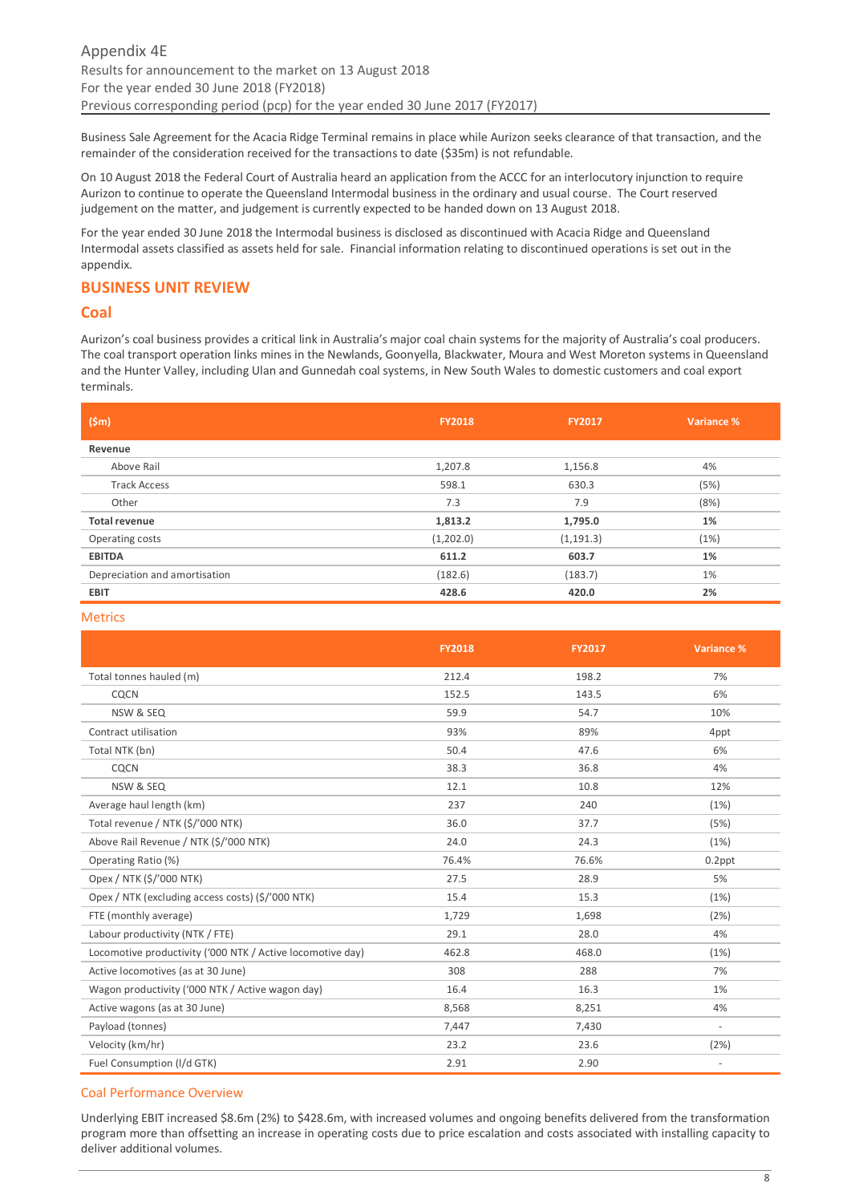Business Sale Agreement for the Acacia Ridge Terminal remains in place while Aurizon seeks clearance of that transaction, and the remainder of the consideration received for the transactions to date (\$35m) is not refundable.

On 10 August 2018 the Federal Court of Australia heard an application from the ACCC for an interlocutory injunction to require Aurizon to continue to operate the Queensland Intermodal business in the ordinary and usual course. The Court reserved judgement on the matter, and judgement is currently expected to be handed down on 13 August 2018.

For the year ended 30 June 2018 the Intermodal business is disclosed as discontinued with Acacia Ridge and Queensland Intermodal assets classified as assets held for sale. Financial information relating to discontinued operations is set out in the appendix.

## <span id="page-7-0"></span>**BUSINESS UNIT REVIEW**

## <span id="page-7-1"></span>**Coal**

Aurizon's coal business provides a critical link in Australia's major coal chain systems for the majority of Australia's coal producers. The coal transport operation links mines in the Newlands, Goonyella, Blackwater, Moura and West Moreton systems in Queensland and the Hunter Valley, including Ulan and Gunnedah coal systems, in New South Wales to domestic customers and coal export terminals.

| (Sm)                          | <b>FY2018</b> | <b>FY2017</b> | Variance % |
|-------------------------------|---------------|---------------|------------|
| Revenue                       |               |               |            |
| Above Rail                    | 1,207.8       | 1,156.8       | 4%         |
| <b>Track Access</b>           | 598.1         | 630.3         | (5%)       |
| Other                         | 7.3           | 7.9           | (8%)       |
| <b>Total revenue</b>          | 1,813.2       | 1,795.0       | 1%         |
| Operating costs               | (1,202.0)     | (1, 191.3)    | (1%)       |
| <b>EBITDA</b>                 | 611.2         | 603.7         | 1%         |
| Depreciation and amortisation | (182.6)       | (183.7)       | 1%         |
| <b>EBIT</b>                   | 428.6         | 420.0         | 2%         |

#### Metrics

|                                                            | <b>FY2018</b> | <b>FY2017</b> | Variance %               |
|------------------------------------------------------------|---------------|---------------|--------------------------|
| Total tonnes hauled (m)                                    | 212.4         | 198.2         | 7%                       |
| CQCN                                                       | 152.5         | 143.5         | 6%                       |
| NSW & SEQ                                                  | 59.9          | 54.7          | 10%                      |
| Contract utilisation                                       | 93%           | 89%           | 4ppt                     |
| Total NTK (bn)                                             | 50.4          | 47.6          | 6%                       |
| CQCN                                                       | 38.3          | 36.8          | 4%                       |
| NSW & SEQ                                                  | 12.1          | 10.8          | 12%                      |
| Average haul length (km)                                   | 237           | 240           | (1%)                     |
| Total revenue / NTK (\$/'000 NTK)                          | 36.0          | 37.7          | (5%)                     |
| Above Rail Revenue / NTK (\$/'000 NTK)                     | 24.0          | 24.3          | (1%)                     |
| Operating Ratio (%)                                        | 76.4%         | 76.6%         | $0.2$ ppt                |
| Opex / NTK (\$/'000 NTK)                                   | 27.5          | 28.9          | 5%                       |
| Opex / NTK (excluding access costs) (\$/'000 NTK)          | 15.4          | 15.3          | (1%)                     |
| FTE (monthly average)                                      | 1,729         | 1,698         | (2%)                     |
| Labour productivity (NTK / FTE)                            | 29.1          | 28.0          | 4%                       |
| Locomotive productivity ('000 NTK / Active locomotive day) | 462.8         | 468.0         | (1%)                     |
| Active locomotives (as at 30 June)                         | 308           | 288           | 7%                       |
| Wagon productivity ('000 NTK / Active wagon day)           | 16.4          | 16.3          | 1%                       |
| Active wagons (as at 30 June)                              | 8,568         | 8,251         | 4%                       |
| Payload (tonnes)                                           | 7,447         | 7,430         | $\sim$                   |
| Velocity (km/hr)                                           | 23.2          | 23.6          | (2%)                     |
| Fuel Consumption (I/d GTK)                                 | 2.91          | 2.90          | $\overline{\phantom{a}}$ |

## Coal Performance Overview

Underlying EBIT increased \$8.6m (2%) to \$428.6m, with increased volumes and ongoing benefits delivered from the transformation program more than offsetting an increase in operating costs due to price escalation and costs associated with installing capacity to deliver additional volumes.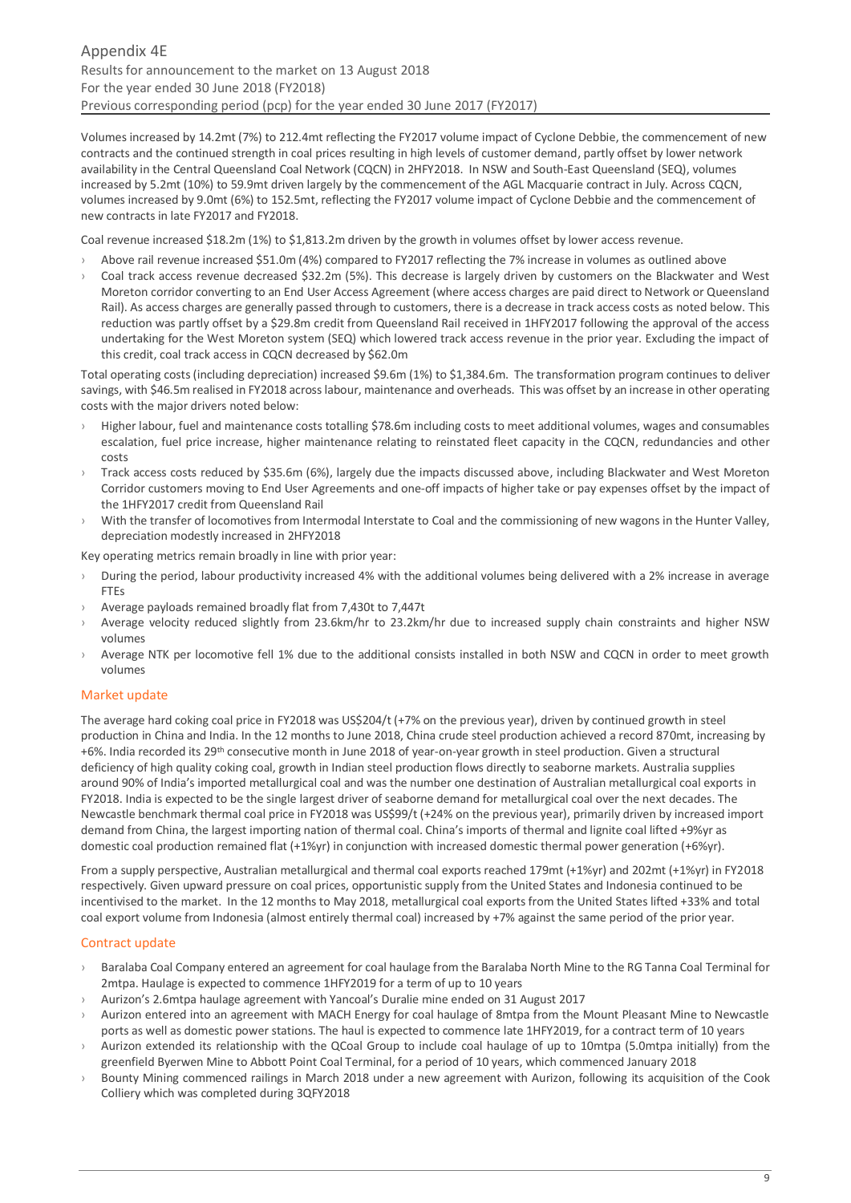Volumes increased by 14.2mt (7%) to 212.4mt reflecting the FY2017 volume impact of Cyclone Debbie, the commencement of new contracts and the continued strength in coal prices resulting in high levels of customer demand, partly offset by lower network availability in the Central Queensland Coal Network (CQCN) in 2HFY2018. In NSW and South-East Queensland (SEQ), volumes increased by 5.2mt (10%) to 59.9mt driven largely by the commencement of the AGL Macquarie contract in July. Across CQCN, volumes increased by 9.0mt (6%) to 152.5mt, reflecting the FY2017 volume impact of Cyclone Debbie and the commencement of new contracts in late FY2017 and FY2018.

Coal revenue increased \$18.2m (1%) to \$1,813.2m driven by the growth in volumes offset by lower access revenue.

- Above rail revenue increased \$51.0m (4%) compared to FY2017 reflecting the 7% increase in volumes as outlined above
- Coal track access revenue decreased \$32.2m (5%). This decrease is largely driven by customers on the Blackwater and West Moreton corridor converting to an End User Access Agreement (where access charges are paid direct to Network or Queensland Rail). As access charges are generally passed through to customers, there is a decrease in track access costs as noted below. This reduction was partly offset by a \$29.8m credit from Queensland Rail received in 1HFY2017 following the approval of the access undertaking for the West Moreton system (SEQ) which lowered track access revenue in the prior year. Excluding the impact of this credit, coal track access in CQCN decreased by \$62.0m

Total operating costs (including depreciation) increased \$9.6m (1%) to \$1,384.6m. The transformation program continues to deliver savings, with \$46.5m realised in FY2018 across labour, maintenance and overheads. This was offset by an increase in other operating costs with the major drivers noted below:

- Higher labour, fuel and maintenance costs totalling \$78.6m including costs to meet additional volumes, wages and consumables escalation, fuel price increase, higher maintenance relating to reinstated fleet capacity in the CQCN, redundancies and other costs
- Track access costs reduced by \$35.6m (6%), largely due the impacts discussed above, including Blackwater and West Moreton Corridor customers moving to End User Agreements and one-off impacts of higher take or pay expenses offset by the impact of the 1HFY2017 credit from Queensland Rail
- › With the transfer of locomotives from Intermodal Interstate to Coal and the commissioning of new wagons in the Hunter Valley, depreciation modestly increased in 2HFY2018

Key operating metrics remain broadly in line with prior year:

- During the period, labour productivity increased 4% with the additional volumes being delivered with a 2% increase in average FTEs
- › Average payloads remained broadly flat from 7,430t to 7,447t
- › Average velocity reduced slightly from 23.6km/hr to 23.2km/hr due to increased supply chain constraints and higher NSW volumes
- Average NTK per locomotive fell 1% due to the additional consists installed in both NSW and CQCN in order to meet growth volumes

## Market update

The average hard coking coal price in FY2018 was US\$204/t (+7% on the previous year), driven by continued growth in steel production in China and India. In the 12 months to June 2018, China crude steel production achieved a record 870mt, increasing by +6%. India recorded its 29th consecutive month in June 2018 of year-on-year growth in steel production. Given a structural deficiency of high quality coking coal, growth in Indian steel production flows directly to seaborne markets. Australia supplies around 90% of India's imported metallurgical coal and was the number one destination of Australian metallurgical coal exports in FY2018. India is expected to be the single largest driver of seaborne demand for metallurgical coal over the next decades. The Newcastle benchmark thermal coal price in FY2018 was US\$99/t (+24% on the previous year), primarily driven by increased import demand from China, the largest importing nation of thermal coal. China's imports of thermal and lignite coal lifted +9%yr as domestic coal production remained flat (+1%yr) in conjunction with increased domestic thermal power generation (+6%yr).

From a supply perspective, Australian metallurgical and thermal coal exports reached 179mt (+1%yr) and 202mt (+1%yr) in FY2018 respectively. Given upward pressure on coal prices, opportunistic supply from the United States and Indonesia continued to be incentivised to the market. In the 12 months to May 2018, metallurgical coal exports from the United States lifted +33% and total coal export volume from Indonesia (almost entirely thermal coal) increased by +7% against the same period of the prior year.

## Contract update

- › Baralaba Coal Company entered an agreement for coal haulage from the Baralaba North Mine to the RG Tanna Coal Terminal for 2mtpa. Haulage is expected to commence 1HFY2019 for a term of up to 10 years
- › Aurizon's 2.6mtpa haulage agreement with Yancoal's Duralie mine ended on 31 August 2017
- Aurizon entered into an agreement with MACH Energy for coal haulage of 8mtpa from the Mount Pleasant Mine to Newcastle ports as well as domestic power stations. The haul is expected to commence late 1HFY2019, for a contract term of 10 years
- Aurizon extended its relationship with the QCoal Group to include coal haulage of up to 10mtpa (5.0mtpa initially) from the greenfield Byerwen Mine to Abbott Point Coal Terminal, for a period of 10 years, which commenced January 2018
- › Bounty Mining commenced railings in March 2018 under a new agreement with Aurizon, following its acquisition of the Cook Colliery which was completed during 3QFY2018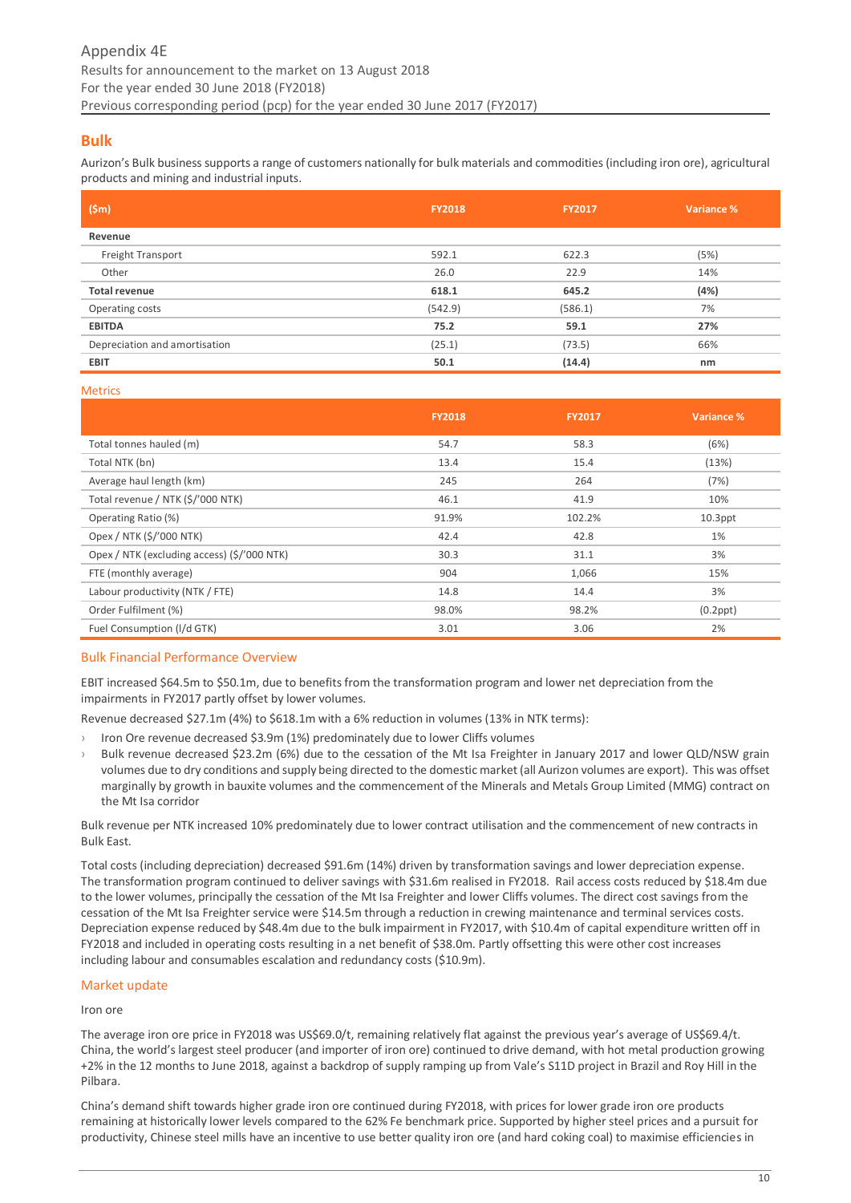## <span id="page-9-0"></span>**Bulk**

Aurizon's Bulk business supports a range of customers nationally for bulk materials and commodities (including iron ore), agricultural products and mining and industrial inputs.

| (Sm)                          | <b>FY2018</b> | <b>FY2017</b> | Variance % |
|-------------------------------|---------------|---------------|------------|
| Revenue                       |               |               |            |
| Freight Transport             | 592.1         | 622.3         | (5%)       |
| Other                         | 26.0          | 22.9          | 14%        |
| <b>Total revenue</b>          | 618.1         | 645.2         | (4%)       |
| Operating costs               | (542.9)       | (586.1)       | 7%         |
| <b>EBITDA</b>                 | 75.2          | 59.1          | 27%        |
| Depreciation and amortisation | (25.1)        | (73.5)        | 66%        |
| <b>EBIT</b>                   | 50.1          | (14.4)        | nm         |

**Metrics** 

|                                             | <b>FY2018</b> | <b>FY2017</b> | Variance %     |
|---------------------------------------------|---------------|---------------|----------------|
| Total tonnes hauled (m)                     | 54.7          | 58.3          | (6%)           |
| Total NTK (bn)                              | 13.4          | 15.4          | (13%)          |
| Average haul length (km)                    | 245           | 264           | (7%)           |
| Total revenue / NTK (\$/'000 NTK)           | 46.1          | 41.9          | 10%            |
| Operating Ratio (%)                         | 91.9%         | 102.2%        | $10.3$ ppt     |
| Opex / NTK (\$/'000 NTK)                    | 42.4          | 42.8          | 1%             |
| Opex / NTK (excluding access) (\$/'000 NTK) | 30.3          | 31.1          | 3%             |
| FTE (monthly average)                       | 904           | 1,066         | 15%            |
| Labour productivity (NTK / FTE)             | 14.8          | 14.4          | 3%             |
| Order Fulfilment (%)                        | 98.0%         | 98.2%         | $(0.2$ ppt $)$ |
| Fuel Consumption (I/d GTK)                  | 3.01          | 3.06          | 2%             |

## Bulk Financial Performance Overview

EBIT increased \$64.5m to \$50.1m, due to benefits from the transformation program and lower net depreciation from the impairments in FY2017 partly offset by lower volumes.

Revenue decreased \$27.1m (4%) to \$618.1m with a 6% reduction in volumes (13% in NTK terms):

- › Iron Ore revenue decreased \$3.9m (1%) predominately due to lower Cliffs volumes
- › Bulk revenue decreased \$23.2m (6%) due to the cessation of the Mt Isa Freighter in January 2017 and lower QLD/NSW grain volumes due to dry conditions and supply being directed to the domestic market (all Aurizon volumes are export). This was offset marginally by growth in bauxite volumes and the commencement of the Minerals and Metals Group Limited (MMG) contract on the Mt Isa corridor

Bulk revenue per NTK increased 10% predominately due to lower contract utilisation and the commencement of new contracts in Bulk East.

Total costs (including depreciation) decreased \$91.6m (14%) driven by transformation savings and lower depreciation expense. The transformation program continued to deliver savings with \$31.6m realised in FY2018. Rail access costs reduced by \$18.4m due to the lower volumes, principally the cessation of the Mt Isa Freighter and lower Cliffs volumes. The direct cost savings from the cessation of the Mt Isa Freighter service were \$14.5m through a reduction in crewing maintenance and terminal services costs. Depreciation expense reduced by \$48.4m due to the bulk impairment in FY2017, with \$10.4m of capital expenditure written off in FY2018 and included in operating costs resulting in a net benefit of \$38.0m. Partly offsetting this were other cost increases including labour and consumables escalation and redundancy costs (\$10.9m).

#### Market update

Iron ore

The average iron ore price in FY2018 was US\$69.0/t, remaining relatively flat against the previous year's average of US\$69.4/t. China, the world's largest steel producer (and importer of iron ore) continued to drive demand, with hot metal production growing +2% in the 12 months to June 2018, against a backdrop of supply ramping up from Vale's S11D project in Brazil and Roy Hill in the Pilbara.

China's demand shift towards higher grade iron ore continued during FY2018, with prices for lower grade iron ore products remaining at historically lower levels compared to the 62% Fe benchmark price. Supported by higher steel prices and a pursuit for productivity, Chinese steel mills have an incentive to use better quality iron ore (and hard coking coal) to maximise efficiencies in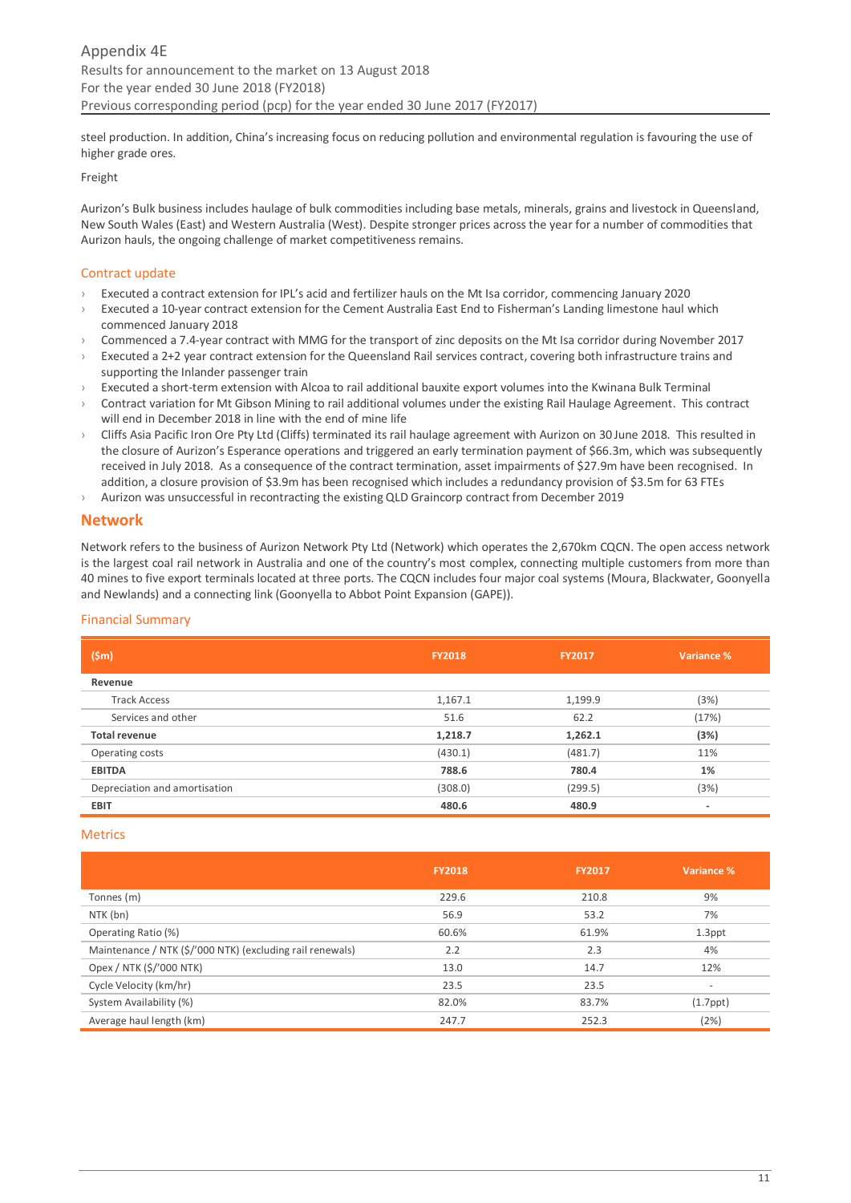steel production. In addition, China's increasing focus on reducing pollution and environmental regulation is favouring the use of higher grade ores.

Freight

Aurizon's Bulk business includes haulage of bulk commodities including base metals, minerals, grains and livestock in Queensland, New South Wales (East) and Western Australia (West). Despite stronger prices across the year for a number of commodities that Aurizon hauls, the ongoing challenge of market competitiveness remains.

## Contract update

- › Executed a contract extension for IPL's acid and fertilizer hauls on the Mt Isa corridor, commencing January 2020
- Executed a 10-year contract extension for the Cement Australia East End to Fisherman's Landing limestone haul which commenced January 2018
- › Commenced a 7.4-year contract with MMG for the transport of zinc deposits on the Mt Isa corridor during November 2017
- Executed a 2+2 year contract extension for the Queensland Rail services contract, covering both infrastructure trains and supporting the Inlander passenger train
- › Executed a short-term extension with Alcoa to rail additional bauxite export volumes into the Kwinana Bulk Terminal
- Contract variation for Mt Gibson Mining to rail additional volumes under the existing Rail Haulage Agreement. This contract will end in December 2018 in line with the end of mine life
- › Cliffs Asia Pacific Iron Ore Pty Ltd (Cliffs) terminated its rail haulage agreement with Aurizon on 30 June 2018. This resulted in the closure of Aurizon's Esperance operations and triggered an early termination payment of \$66.3m, which was subsequently received in July 2018. As a consequence of the contract termination, asset impairments of \$27.9m have been recognised. In addition, a closure provision of \$3.9m has been recognised which includes a redundancy provision of \$3.5m for 63 FTEs
- $\rightarrow$  Aurizon was unsuccessful in recontracting the existing QLD Graincorp contract from December 2019

## <span id="page-10-0"></span>**Network**

Network refers to the business of Aurizon Network Pty Ltd (Network) which operates the 2,670km CQCN. The open access network is the largest coal rail network in Australia and one of the country's most complex, connecting multiple customers from more than 40 mines to five export terminals located at three ports. The CQCN includes four major coal systems (Moura, Blackwater, Goonyella and Newlands) and a connecting link (Goonyella to Abbot Point Expansion (GAPE)).

## Financial Summary

| (s <sub>m</sub> )             | <b>FY2018</b> | <b>FY2017</b> | Variance % |
|-------------------------------|---------------|---------------|------------|
| Revenue                       |               |               |            |
| <b>Track Access</b>           | 1,167.1       | 1,199.9       | (3%)       |
| Services and other            | 51.6          | 62.2          | (17%)      |
| <b>Total revenue</b>          | 1,218.7       | 1,262.1       | (3%)       |
| Operating costs               | (430.1)       | (481.7)       | 11%        |
| <b>EBITDA</b>                 | 788.6         | 780.4         | 1%         |
| Depreciation and amortisation | (308.0)       | (299.5)       | (3%)       |
| <b>EBIT</b>                   | 480.6         | 480.9         | ۰          |

#### Metrics

|                                                           | <b>FY2018</b> | <b>FY2017</b> | Variance %               |
|-----------------------------------------------------------|---------------|---------------|--------------------------|
| Tonnes (m)                                                | 229.6         | 210.8         | 9%                       |
| NTK (bn)                                                  | 56.9          | 53.2          | 7%                       |
| Operating Ratio (%)                                       | 60.6%         | 61.9%         | 1.3ppt                   |
| Maintenance / NTK (\$/'000 NTK) (excluding rail renewals) | 2.2           | 2.3           | 4%                       |
| Opex / NTK (\$/'000 NTK)                                  | 13.0          | 14.7          | 12%                      |
| Cycle Velocity (km/hr)                                    | 23.5          | 23.5          | $\overline{\phantom{a}}$ |
| System Availability (%)                                   | 82.0%         | 83.7%         | $(1.7$ ppt $)$           |
| Average haul length (km)                                  | 247.7         | 252.3         | (2%)                     |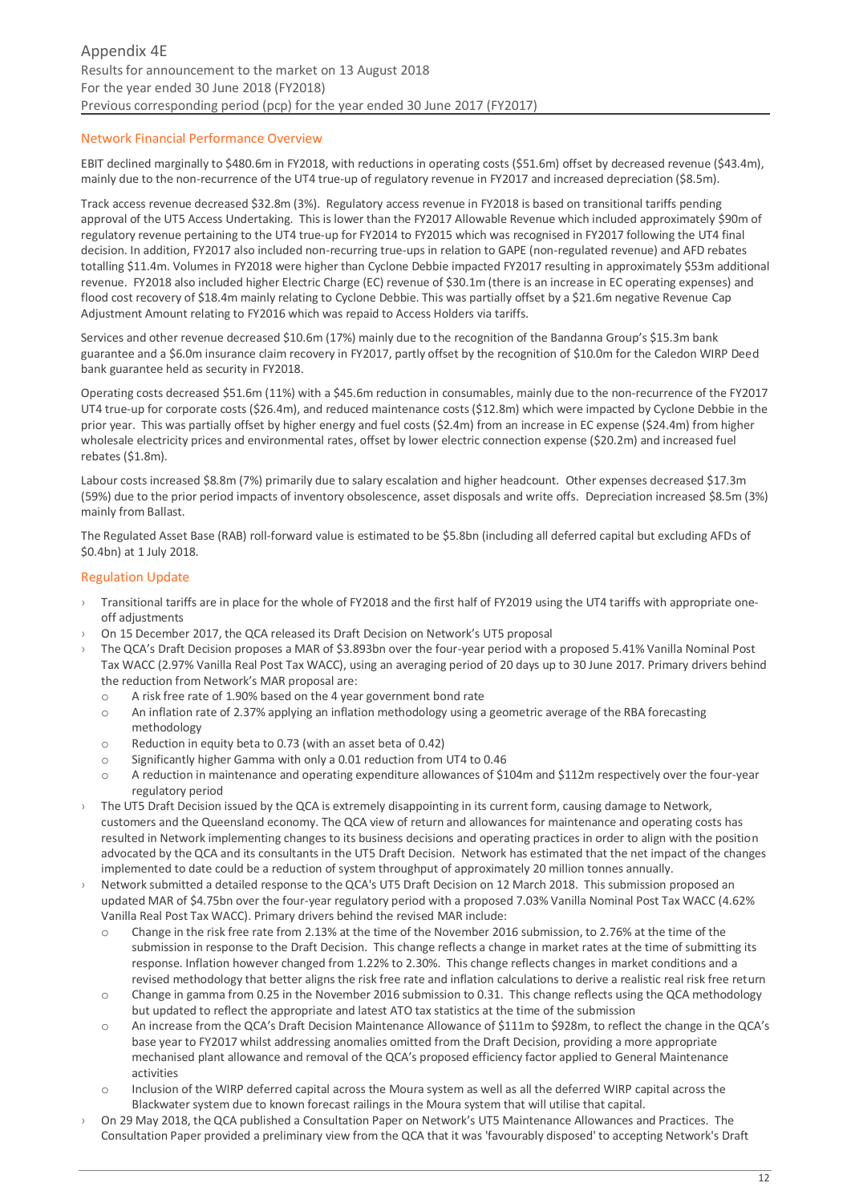## Network Financial Performance Overview

EBIT declined marginally to \$480.6m in FY2018, with reductions in operating costs (\$51.6m) offset by decreased revenue (\$43.4m), mainly due to the non-recurrence of the UT4 true-up of regulatory revenue in FY2017 and increased depreciation (\$8.5m).

Track access revenue decreased \$32.8m (3%). Regulatory access revenue in FY2018 is based on transitional tariffs pending approval of the UT5 Access Undertaking. This is lower than the FY2017 Allowable Revenue which included approximately \$90m of regulatory revenue pertaining to the UT4 true-up for FY2014 to FY2015 which was recognised in FY2017 following the UT4 final decision. In addition, FY2017 also included non-recurring true-ups in relation to GAPE (non-regulated revenue) and AFD rebates totalling \$11.4m. Volumes in FY2018 were higher than Cyclone Debbie impacted FY2017 resulting in approximately \$53m additional revenue. FY2018 also included higher Electric Charge (EC) revenue of \$30.1m (there is an increase in EC operating expenses) and flood cost recovery of \$18.4m mainly relating to Cyclone Debbie. This was partially offset by a \$21.6m negative Revenue Cap Adjustment Amount relating to FY2016 which was repaid to Access Holders via tariffs.

Services and other revenue decreased \$10.6m (17%) mainly due to the recognition of the Bandanna Group's \$15.3m bank guarantee and a \$6.0m insurance claim recovery in FY2017, partly offset by the recognition of \$10.0m for the Caledon WIRP Deed bank guarantee held as security in FY2018.

Operating costs decreased \$51.6m (11%) with a \$45.6m reduction in consumables, mainly due to the non-recurrence of the FY2017 UT4 true-up for corporate costs (\$26.4m), and reduced maintenance costs (\$12.8m) which were impacted by Cyclone Debbie in the prior year. This was partially offset by higher energy and fuel costs (\$2.4m) from an increase in EC expense (\$24.4m) from higher wholesale electricity prices and environmental rates, offset by lower electric connection expense (\$20.2m) and increased fuel rebates (\$1.8m).

Labour costs increased \$8.8m (7%) primarily due to salary escalation and higher headcount. Other expenses decreased \$17.3m (59%) due to the prior period impacts of inventory obsolescence, asset disposals and write offs. Depreciation increased \$8.5m (3%) mainly from Ballast.

The Regulated Asset Base (RAB) roll‐forward value is estimated to be \$5.8bn (including all deferred capital but excluding AFDs of \$0.4bn) at 1 July 2018.

#### Regulation Update

- Transitional tariffs are in place for the whole of FY2018 and the first half of FY2019 using the UT4 tariffs with appropriate oneoff adjustments
- On 15 December 2017, the QCA released its Draft Decision on Network's UT5 proposal
- › The QCA's Draft Decision proposes a MAR of \$3.893bn over the four-year period with a proposed 5.41% Vanilla Nominal Post Tax WACC (2.97% Vanilla Real Post Tax WACC), using an averaging period of 20 days up to 30 June 2017. Primary drivers behind the reduction from Network's MAR proposal are:
	- o A risk free rate of 1.90% based on the 4 year government bond rate
	- o An inflation rate of 2.37% applying an inflation methodology using a geometric average of the RBA forecasting methodology
	- o Reduction in equity beta to 0.73 (with an asset beta of 0.42)
	- o Significantly higher Gamma with only a 0.01 reduction from UT4 to 0.46
	- o A reduction in maintenance and operating expenditure allowances of \$104m and \$112m respectively over the four-year regulatory period
- The UT5 Draft Decision issued by the QCA is extremely disappointing in its current form, causing damage to Network, customers and the Queensland economy. The QCA view of return and allowances for maintenance and operating costs has resulted in Network implementing changes to its business decisions and operating practices in order to align with the position advocated by the QCA and its consultants in the UT5 Draft Decision. Network has estimated that the net impact of the changes implemented to date could be a reduction of system throughput of approximately 20 million tonnes annually.
- Network submitted a detailed response to the QCA's UT5 Draft Decision on 12 March 2018. This submission proposed an updated MAR of \$4.75bn over the four-year regulatory period with a proposed 7.03% Vanilla Nominal Post Tax WACC (4.62% Vanilla Real Post Tax WACC). Primary drivers behind the revised MAR include:
	- o Change in the risk free rate from 2.13% at the time of the November 2016 submission, to 2.76% at the time of the submission in response to the Draft Decision. This change reflects a change in market rates at the time of submitting its response. Inflation however changed from 1.22% to 2.30%. This change reflects changes in market conditions and a revised methodology that better aligns the risk free rate and inflation calculations to derive a realistic real risk free return
	- o Change in gamma from 0.25 in the November 2016 submission to 0.31. This change reflects using the QCA methodology but updated to reflect the appropriate and latest ATO tax statistics at the time of the submission
	- o An increase from the QCA's Draft Decision Maintenance Allowance of \$111m to \$928m, to reflect the change in the QCA's base year to FY2017 whilst addressing anomalies omitted from the Draft Decision, providing a more appropriate mechanised plant allowance and removal of the QCA's proposed efficiency factor applied to General Maintenance activities
	- o Inclusion of the WIRP deferred capital across the Moura system as well as all the deferred WIRP capital across the Blackwater system due to known forecast railings in the Moura system that will utilise that capital.
- › On 29 May 2018, the QCA published a Consultation Paper on Network's UT5 Maintenance Allowances and Practices. The Consultation Paper provided a preliminary view from the QCA that it was 'favourably disposed' to accepting Network's Draft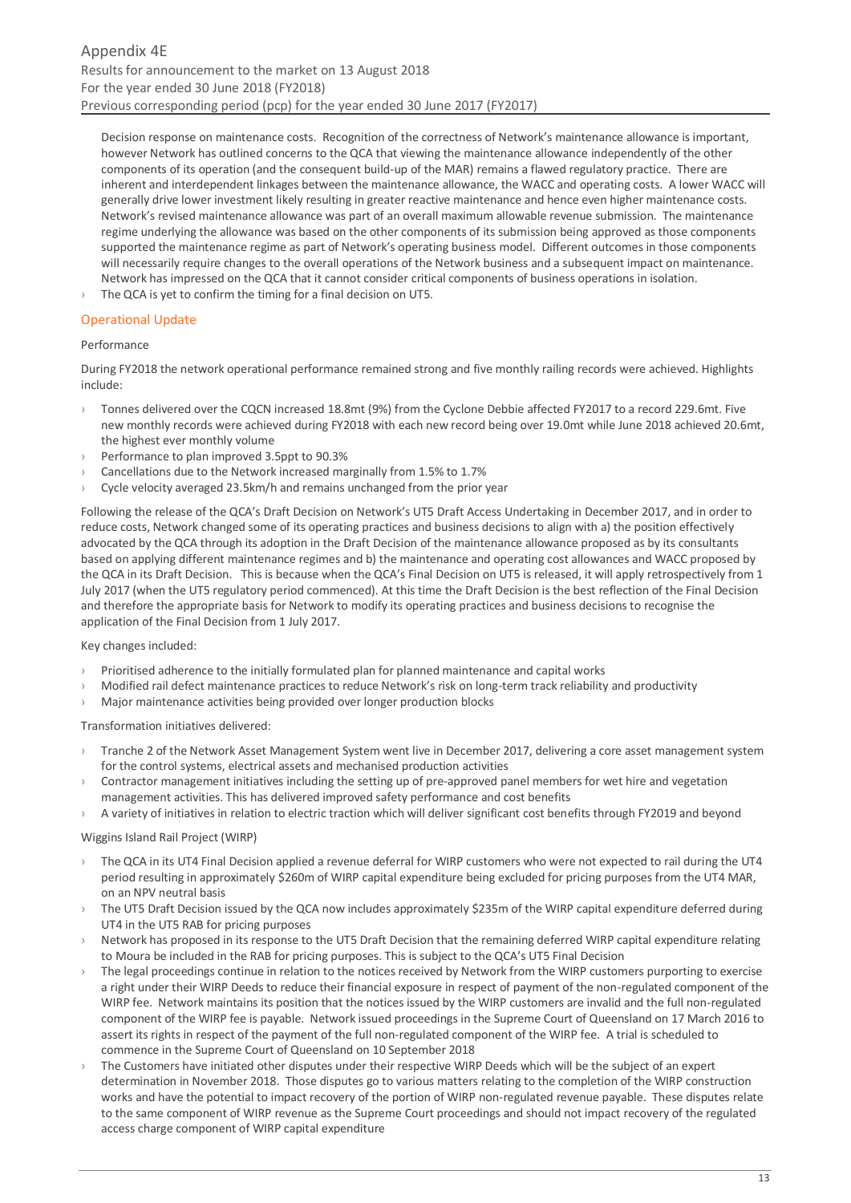Decision response on maintenance costs. Recognition of the correctness of Network's maintenance allowance is important, however Network has outlined concerns to the QCA that viewing the maintenance allowance independently of the other components of its operation (and the consequent build-up of the MAR) remains a flawed regulatory practice. There are inherent and interdependent linkages between the maintenance allowance, the WACC and operating costs. A lower WACC will generally drive lower investment likely resulting in greater reactive maintenance and hence even higher maintenance costs. Network's revised maintenance allowance was part of an overall maximum allowable revenue submission. The maintenance regime underlying the allowance was based on the other components of its submission being approved as those components supported the maintenance regime as part of Network's operating business model. Different outcomes in those components will necessarily require changes to the overall operations of the Network business and a subsequent impact on maintenance. Network has impressed on the QCA that it cannot consider critical components of business operations in isolation.

The QCA is yet to confirm the timing for a final decision on UT5.

#### Operational Update

#### Performance

During FY2018 the network operational performance remained strong and five monthly railing records were achieved. Highlights include:

- › Tonnes delivered over the CQCN increased 18.8mt (9%) from the Cyclone Debbie affected FY2017 to a record 229.6mt. Five new monthly records were achieved during FY2018 with each new record being over 19.0mt while June 2018 achieved 20.6mt, the highest ever monthly volume
- Performance to plan improved 3.5ppt to 90.3%
- Cancellations due to the Network increased marginally from 1.5% to 1.7%
- Cycle velocity averaged 23.5km/h and remains unchanged from the prior year

Following the release of the QCA's Draft Decision on Network's UT5 Draft Access Undertaking in December 2017, and in order to reduce costs, Network changed some of its operating practices and business decisions to align with a) the position effectively advocated by the QCA through its adoption in the Draft Decision of the maintenance allowance proposed as by its consultants based on applying different maintenance regimes and b) the maintenance and operating cost allowances and WACC proposed by the QCA in its Draft Decision. This is because when the QCA's Final Decision on UT5 is released, it will apply retrospectively from 1 July 2017 (when the UT5 regulatory period commenced). At this time the Draft Decision is the best reflection of the Final Decision and therefore the appropriate basis for Network to modify its operating practices and business decisions to recognise the application of the Final Decision from 1 July 2017.

#### Key changes included:

- › Prioritised adherence to the initially formulated plan for planned maintenance and capital works
- › Modified rail defect maintenance practices to reduce Network's risk on long-term track reliability and productivity
- › Major maintenance activities being provided over longer production blocks

Transformation initiatives delivered:

- Tranche 2 of the Network Asset Management System went live in December 2017, delivering a core asset management system for the control systems, electrical assets and mechanised production activities
- Contractor management initiatives including the setting up of pre-approved panel members for wet hire and vegetation management activities. This has delivered improved safety performance and cost benefits
- › A variety of initiatives in relation to electric traction which will deliver significant cost benefits through FY2019 and beyond

#### Wiggins Island Rail Project (WIRP)

- › The QCA in its UT4 Final Decision applied a revenue deferral for WIRP customers who were not expected to rail during the UT4 period resulting in approximately \$260m of WIRP capital expenditure being excluded for pricing purposes from the UT4 MAR, on an NPV neutral basis
- The UT5 Draft Decision issued by the QCA now includes approximately \$235m of the WIRP capital expenditure deferred during UT4 in the UT5 RAB for pricing purposes
- › Network has proposed in its response to the UT5 Draft Decision that the remaining deferred WIRP capital expenditure relating to Moura be included in the RAB for pricing purposes. This is subject to the QCA's UT5 Final Decision
- The legal proceedings continue in relation to the notices received by Network from the WIRP customers purporting to exercise a right under their WIRP Deeds to reduce their financial exposure in respect of payment of the non-regulated component of the WIRP fee. Network maintains its position that the notices issued by the WIRP customers are invalid and the full non-regulated component of the WIRP fee is payable. Network issued proceedings in the Supreme Court of Queensland on 17 March 2016 to assert its rights in respect of the payment of the full non-regulated component of the WIRP fee. A trial is scheduled to commence in the Supreme Court of Queensland on 10 September 2018
- The Customers have initiated other disputes under their respective WIRP Deeds which will be the subject of an expert determination in November 2018. Those disputes go to various matters relating to the completion of the WIRP construction works and have the potential to impact recovery of the portion of WIRP non-regulated revenue payable. These disputes relate to the same component of WIRP revenue as the Supreme Court proceedings and should not impact recovery of the regulated access charge component of WIRP capital expenditure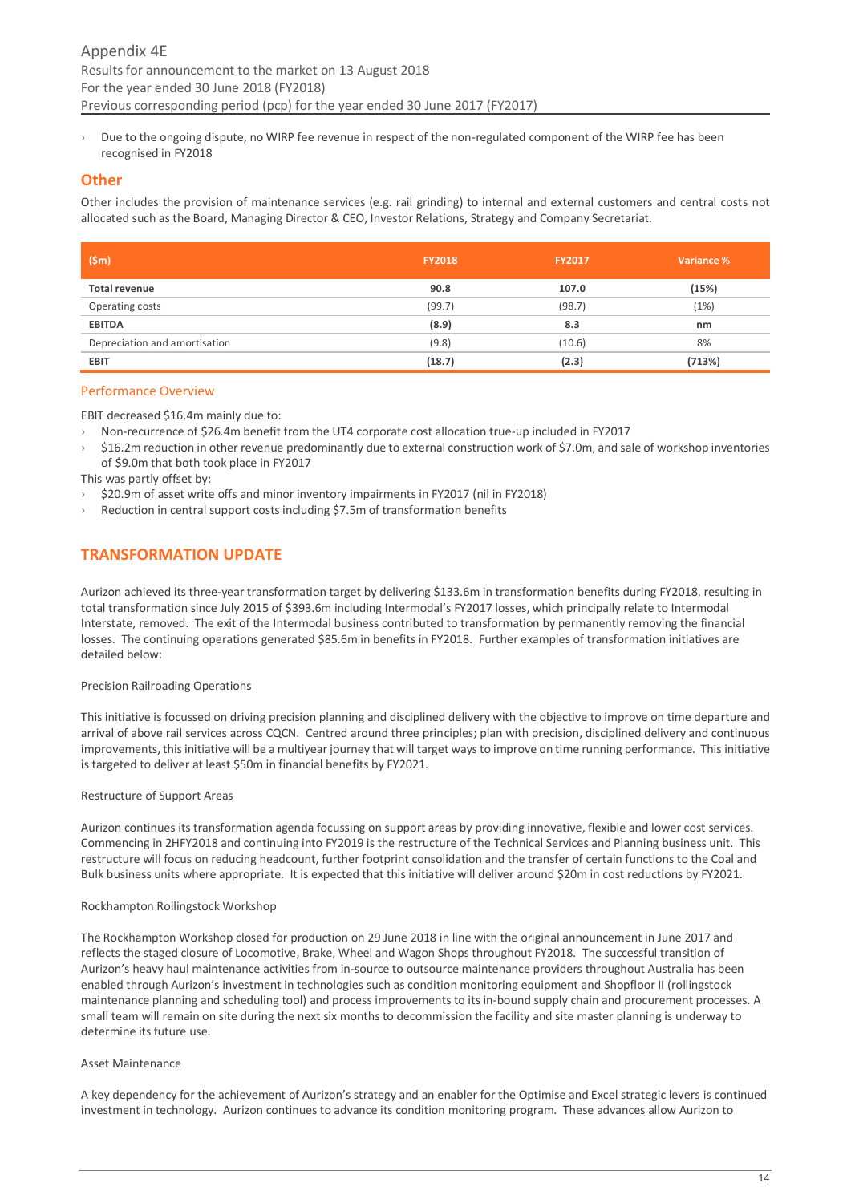› Due to the ongoing dispute, no WIRP fee revenue in respect of the non-regulated component of the WIRP fee has been recognised in FY2018

## <span id="page-13-0"></span>**Other**

Other includes the provision of maintenance services (e.g. rail grinding) to internal and external customers and central costs not allocated such as the Board, Managing Director & CEO, Investor Relations, Strategy and Company Secretariat.

| (Sm)                          | <b>FY2018</b> | <b>FY2017</b> | Variance % |
|-------------------------------|---------------|---------------|------------|
| <b>Total revenue</b>          | 90.8          | 107.0         | (15%)      |
| Operating costs               | (99.7)        | (98.7)        | (1%)       |
| <b>EBITDA</b>                 | (8.9)         | 8.3           | nm         |
| Depreciation and amortisation | (9.8)         | (10.6)        | 8%         |
| <b>EBIT</b>                   | (18.7)        | (2.3)         | (713%)     |

## Performance Overview

EBIT decreased \$16.4m mainly due to:

- › Non-recurrence of \$26.4m benefit from the UT4 corporate cost allocation true-up included in FY2017
- › \$16.2m reduction in other revenue predominantly due to external construction work of \$7.0m, and sale of workshop inventories of \$9.0m that both took place in FY2017

This was partly offset by:

- \$20.9m of asset write offs and minor inventory impairments in FY2017 (nil in FY2018)
- › Reduction in central support costs including \$7.5m of transformation benefits

# <span id="page-13-1"></span>**TRANSFORMATION UPDATE**

Aurizon achieved its three-year transformation target by delivering \$133.6m in transformation benefits during FY2018, resulting in total transformation since July 2015 of \$393.6m including Intermodal's FY2017 losses, which principally relate to Intermodal Interstate, removed. The exit of the Intermodal business contributed to transformation by permanently removing the financial losses. The continuing operations generated \$85.6m in benefits in FY2018. Further examples of transformation initiatives are detailed below:

#### Precision Railroading Operations

This initiative is focussed on driving precision planning and disciplined delivery with the objective to improve on time departure and arrival of above rail services across CQCN. Centred around three principles; plan with precision, disciplined delivery and continuous improvements, this initiative will be a multiyear journey that will target ways to improve on time running performance. This initiative is targeted to deliver at least \$50m in financial benefits by FY2021.

#### Restructure of Support Areas

Aurizon continues its transformation agenda focussing on support areas by providing innovative, flexible and lower cost services. Commencing in 2HFY2018 and continuing into FY2019 is the restructure of the Technical Services and Planning business unit. This restructure will focus on reducing headcount, further footprint consolidation and the transfer of certain functions to the Coal and Bulk business units where appropriate. It is expected that this initiative will deliver around \$20m in cost reductions by FY2021.

#### Rockhampton Rollingstock Workshop

The Rockhampton Workshop closed for production on 29 June 2018 in line with the original announcement in June 2017 and reflects the staged closure of Locomotive, Brake, Wheel and Wagon Shops throughout FY2018. The successful transition of Aurizon's heavy haul maintenance activities from in-source to outsource maintenance providers throughout Australia has been enabled through Aurizon's investment in technologies such as condition monitoring equipment and Shopfloor II (rollingstock maintenance planning and scheduling tool) and process improvements to its in-bound supply chain and procurement processes. A small team will remain on site during the next six months to decommission the facility and site master planning is underway to determine its future use.

#### Asset Maintenance

A key dependency for the achievement of Aurizon's strategy and an enabler for the Optimise and Excel strategic levers is continued investment in technology. Aurizon continues to advance its condition monitoring program. These advances allow Aurizon to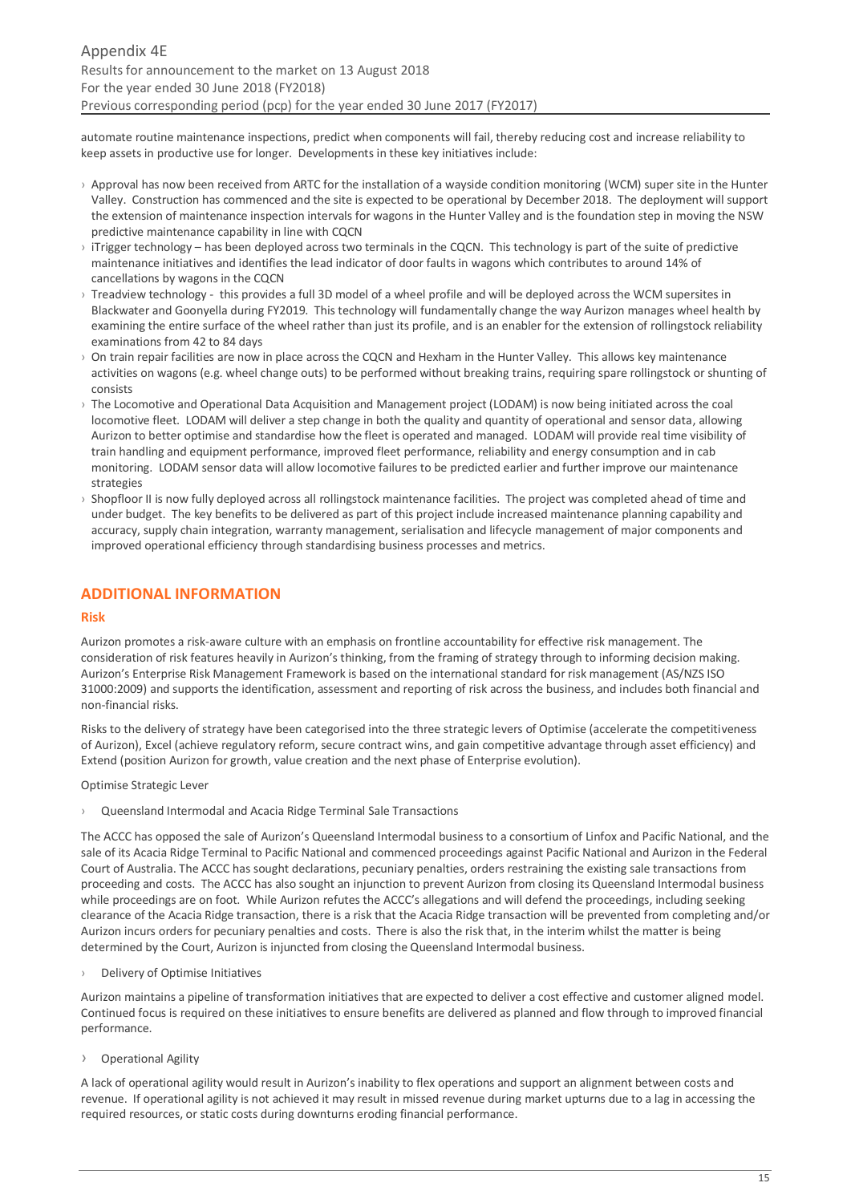automate routine maintenance inspections, predict when components will fail, thereby reducing cost and increase reliability to keep assets in productive use for longer. Developments in these key initiatives include:

- $\rightarrow$  Approval has now been received from ARTC for the installation of a wavside condition monitoring (WCM) super site in the Hunter Valley. Construction has commenced and the site is expected to be operational by December 2018. The deployment will support the extension of maintenance inspection intervals for wagons in the Hunter Valley and is the foundation step in moving the NSW predictive maintenance capability in line with CQCN
- › iTrigger technology has been deployed across two terminals in the CQCN. This technology is part of the suite of predictive maintenance initiatives and identifies the lead indicator of door faults in wagons which contributes to around 14% of cancellations by wagons in the CQCN
- › Treadview technology this provides a full 3D model of a wheel profile and will be deployed across the WCM supersites in Blackwater and Goonyella during FY2019. This technology will fundamentally change the way Aurizon manages wheel health by examining the entire surface of the wheel rather than just its profile, and is an enabler for the extension of rollingstock reliability examinations from 42 to 84 days
- $\rightarrow$  On train repair facilities are now in place across the CQCN and Hexham in the Hunter Valley. This allows key maintenance activities on wagons (e.g. wheel change outs) to be performed without breaking trains, requiring spare rollingstock or shunting of consists
- › The Locomotive and Operational Data Acquisition and Management project (LODAM) is now being initiated across the coal locomotive fleet. LODAM will deliver a step change in both the quality and quantity of operational and sensor data, allowing Aurizon to better optimise and standardise how the fleet is operated and managed. LODAM will provide real time visibility of train handling and equipment performance, improved fleet performance, reliability and energy consumption and in cab monitoring. LODAM sensor data will allow locomotive failures to be predicted earlier and further improve our maintenance strategies
- › Shopfloor II is now fully deployed across all rollingstock maintenance facilities. The project was completed ahead of time and under budget. The key benefits to be delivered as part of this project include increased maintenance planning capability and accuracy, supply chain integration, warranty management, serialisation and lifecycle management of major components and improved operational efficiency through standardising business processes and metrics.

# <span id="page-14-0"></span>**ADDITIONAL INFORMATION**

## **Risk**

Aurizon promotes a risk-aware culture with an emphasis on frontline accountability for effective risk management. The consideration of risk features heavily in Aurizon's thinking, from the framing of strategy through to informing decision making. Aurizon's Enterprise Risk Management Framework is based on the international standard for risk management (AS/NZS ISO 31000:2009) and supports the identification, assessment and reporting of risk across the business, and includes both financial and non-financial risks.

Risks to the delivery of strategy have been categorised into the three strategic levers of Optimise (accelerate the competitiveness of Aurizon), Excel (achieve regulatory reform, secure contract wins, and gain competitive advantage through asset efficiency) and Extend (position Aurizon for growth, value creation and the next phase of Enterprise evolution).

Optimise Strategic Lever

› Queensland Intermodal and Acacia Ridge Terminal Sale Transactions

The ACCC has opposed the sale of Aurizon's Queensland Intermodal business to a consortium of Linfox and Pacific National, and the sale of its Acacia Ridge Terminal to Pacific National and commenced proceedings against Pacific National and Aurizon in the Federal Court of Australia. The ACCC has sought declarations, pecuniary penalties, orders restraining the existing sale transactions from proceeding and costs. The ACCC has also sought an injunction to prevent Aurizon from closing its Queensland Intermodal business while proceedings are on foot. While Aurizon refutes the ACCC's allegations and will defend the proceedings, including seeking clearance of the Acacia Ridge transaction, there is a risk that the Acacia Ridge transaction will be prevented from completing and/or Aurizon incurs orders for pecuniary penalties and costs. There is also the risk that, in the interim whilst the matter is being determined by the Court, Aurizon is injuncted from closing the Queensland Intermodal business.

› Delivery of Optimise Initiatives

Aurizon maintains a pipeline of transformation initiatives that are expected to deliver a cost effective and customer aligned model. Continued focus is required on these initiatives to ensure benefits are delivered as planned and flow through to improved financial performance.

› Operational Agility

A lack of operational agility would result in Aurizon's inability to flex operations and support an alignment between costs and revenue. If operational agility is not achieved it may result in missed revenue during market upturns due to a lag in accessing the required resources, or static costs during downturns eroding financial performance.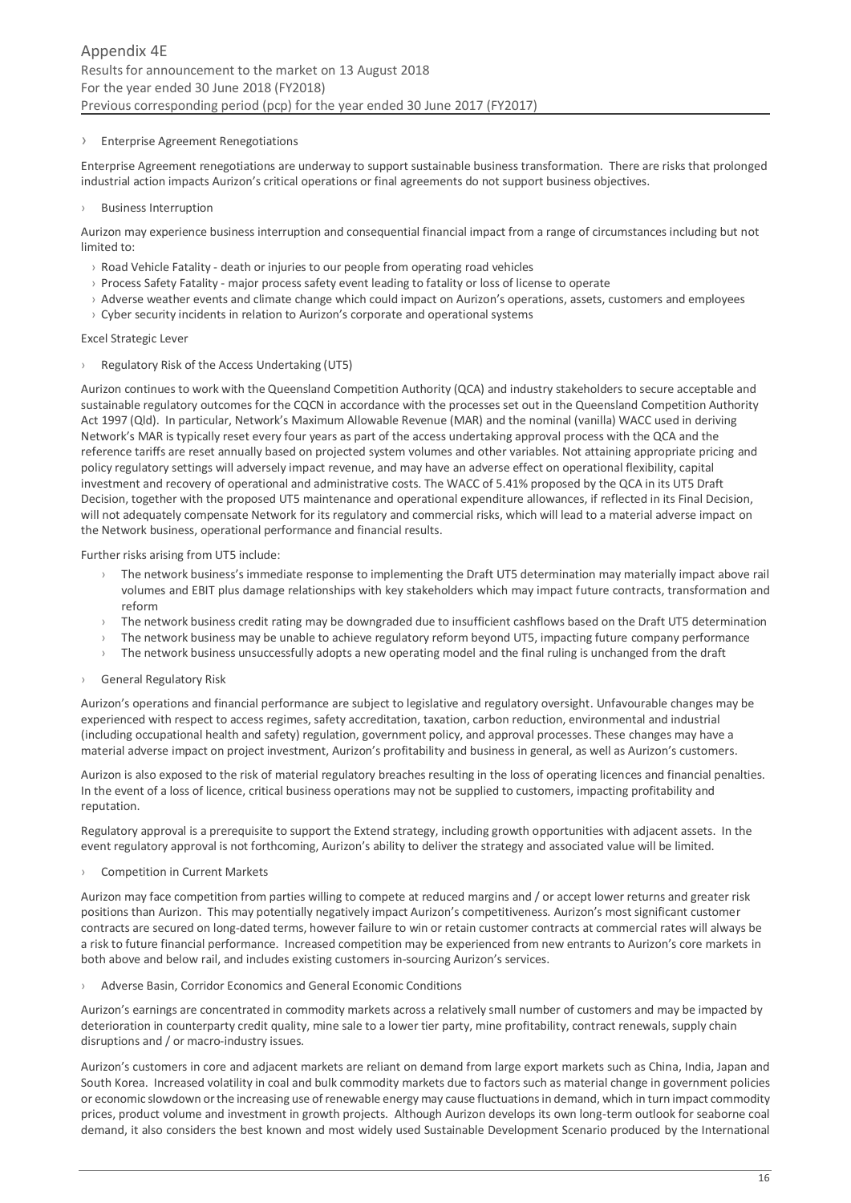#### › Enterprise Agreement Renegotiations

Enterprise Agreement renegotiations are underway to support sustainable business transformation. There are risks that prolonged industrial action impacts Aurizon's critical operations or final agreements do not support business objectives.

#### **Business Interruption**

Aurizon may experience business interruption and consequential financial impact from a range of circumstances including but not limited to:

- › Road Vehicle Fatality death or injuries to our people from operating road vehicles
- › Process Safety Fatality major process safety event leading to fatality or loss of license to operate
- › Adverse weather events and climate change which could impact on Aurizon's operations, assets, customers and employees
- $\rightarrow$  Cyber security incidents in relation to Aurizon's corporate and operational systems

#### Excel Strategic Lever

#### › Regulatory Risk of the Access Undertaking (UT5)

Aurizon continues to work with the Queensland Competition Authority (QCA) and industry stakeholders to secure acceptable and sustainable regulatory outcomes for the CQCN in accordance with the processes set out in the Queensland Competition Authority Act 1997 (Qld). In particular, Network's Maximum Allowable Revenue (MAR) and the nominal (vanilla) WACC used in deriving Network's MAR is typically reset every four years as part of the access undertaking approval process with the QCA and the reference tariffs are reset annually based on projected system volumes and other variables. Not attaining appropriate pricing and policy regulatory settings will adversely impact revenue, and may have an adverse effect on operational flexibility, capital investment and recovery of operational and administrative costs. The WACC of 5.41% proposed by the QCA in its UT5 Draft Decision, together with the proposed UT5 maintenance and operational expenditure allowances, if reflected in its Final Decision, will not adequately compensate Network for its regulatory and commercial risks, which will lead to a material adverse impact on the Network business, operational performance and financial results.

Further risks arising from UT5 include:

- The network business's immediate response to implementing the Draft UT5 determination may materially impact above rail volumes and EBIT plus damage relationships with key stakeholders which may impact future contracts, transformation and reform
- $\rightarrow$  The network business credit rating may be downgraded due to insufficient cashflows based on the Draft UT5 determination
- The network business may be unable to achieve regulatory reform beyond UT5, impacting future company performance
- The network business unsuccessfully adopts a new operating model and the final ruling is unchanged from the draft

## › General Regulatory Risk

Aurizon's operations and financial performance are subject to legislative and regulatory oversight. Unfavourable changes may be experienced with respect to access regimes, safety accreditation, taxation, carbon reduction, environmental and industrial (including occupational health and safety) regulation, government policy, and approval processes. These changes may have a material adverse impact on project investment, Aurizon's profitability and business in general, as well as Aurizon's customers.

Aurizon is also exposed to the risk of material regulatory breaches resulting in the loss of operating licences and financial penalties. In the event of a loss of licence, critical business operations may not be supplied to customers, impacting profitability and reputation.

Regulatory approval is a prerequisite to support the Extend strategy, including growth opportunities with adjacent assets. In the event regulatory approval is not forthcoming, Aurizon's ability to deliver the strategy and associated value will be limited.

#### › Competition in Current Markets

Aurizon may face competition from parties willing to compete at reduced margins and / or accept lower returns and greater risk positions than Aurizon. This may potentially negatively impact Aurizon's competitiveness. Aurizon's most significant customer contracts are secured on long‐dated terms, however failure to win or retain customer contracts at commercial rates will always be a risk to future financial performance. Increased competition may be experienced from new entrants to Aurizon's core markets in both above and below rail, and includes existing customers in-sourcing Aurizon's services.

› Adverse Basin, Corridor Economics and General Economic Conditions

Aurizon's earnings are concentrated in commodity markets across a relatively small number of customers and may be impacted by deterioration in counterparty credit quality, mine sale to a lower tier party, mine profitability, contract renewals, supply chain disruptions and / or macro‐industry issues.

Aurizon's customers in core and adjacent markets are reliant on demand from large export markets such as China, India, Japan and South Korea. Increased volatility in coal and bulk commodity markets due to factors such as material change in government policies or economic slowdown or the increasing use of renewable energy may cause fluctuations in demand, which in turn impact commodity prices, product volume and investment in growth projects. Although Aurizon develops its own long-term outlook for seaborne coal demand, it also considers the best known and most widely used Sustainable Development Scenario produced by the International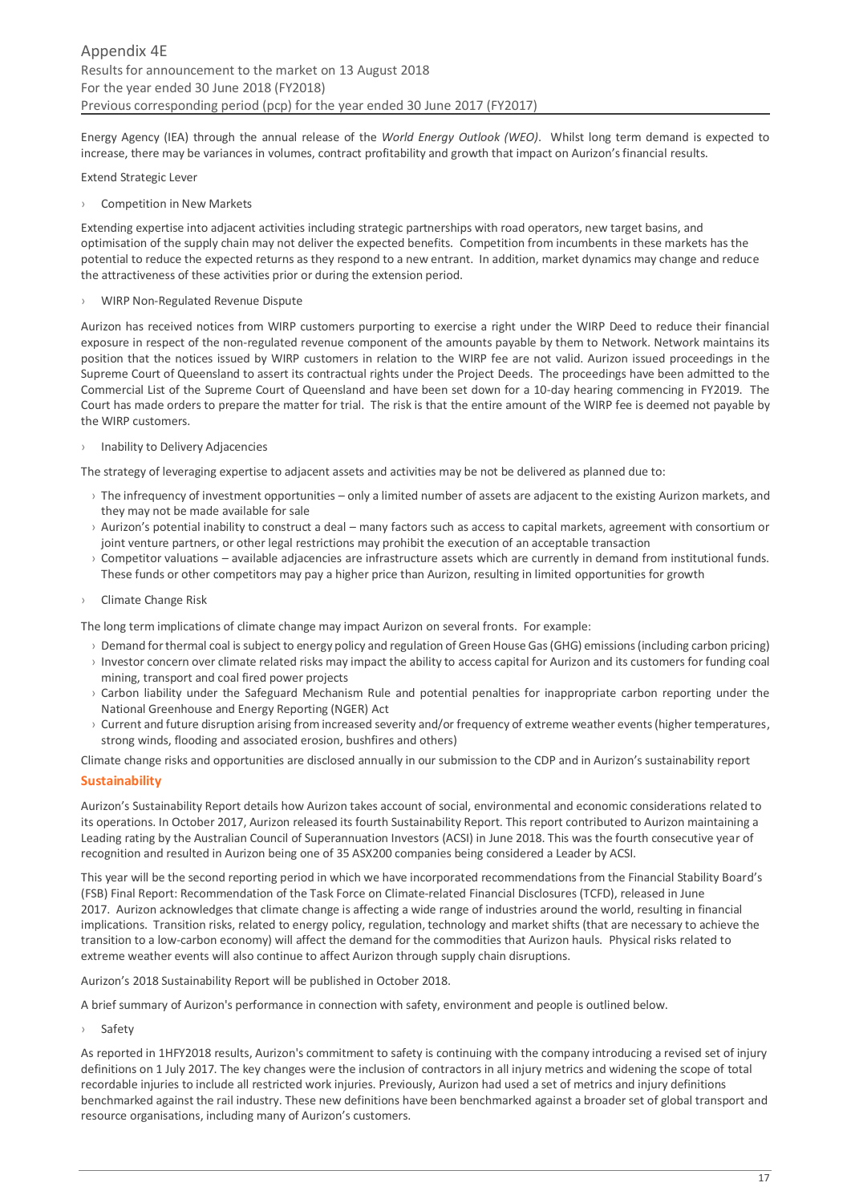Energy Agency (IEA) through the annual release of the *World Energy Outlook (WEO)*. Whilst long term demand is expected to increase, there may be variances in volumes, contract profitability and growth that impact on Aurizon's financial results.

#### Extend Strategic Lever

Competition in New Markets

Extending expertise into adjacent activities including strategic partnerships with road operators, new target basins, and optimisation of the supply chain may not deliver the expected benefits. Competition from incumbents in these markets has the potential to reduce the expected returns as they respond to a new entrant. In addition, market dynamics may change and reduce the attractiveness of these activities prior or during the extension period.

WIRP Non-Regulated Revenue Dispute

Aurizon has received notices from WIRP customers purporting to exercise a right under the WIRP Deed to reduce their financial exposure in respect of the non-regulated revenue component of the amounts payable by them to Network. Network maintains its position that the notices issued by WIRP customers in relation to the WIRP fee are not valid. Aurizon issued proceedings in the Supreme Court of Queensland to assert its contractual rights under the Project Deeds. The proceedings have been admitted to the Commercial List of the Supreme Court of Queensland and have been set down for a 10-day hearing commencing in FY2019. The Court has made orders to prepare the matter for trial. The risk is that the entire amount of the WIRP fee is deemed not payable by the WIRP customers.

› Inability to Delivery Adjacencies

The strategy of leveraging expertise to adjacent assets and activities may be not be delivered as planned due to:

- › The infrequency of investment opportunities only a limited number of assets are adjacent to the existing Aurizon markets, and they may not be made available for sale
- › Aurizon's potential inability to construct a deal many factors such as access to capital markets, agreement with consortium or joint venture partners, or other legal restrictions may prohibit the execution of an acceptable transaction
- › Competitor valuations available adjacencies are infrastructure assets which are currently in demand from institutional funds. These funds or other competitors may pay a higher price than Aurizon, resulting in limited opportunities for growth
- › Climate Change Risk

The long term implications of climate change may impact Aurizon on several fronts. For example:

- › Demand for thermal coal is subject to energy policy and regulation of Green House Gas (GHG) emissions (including carbon pricing)
- › Investor concern over climate related risks may impact the ability to access capital for Aurizon and its customers for funding coal mining, transport and coal fired power projects
- › Carbon liability under the Safeguard Mechanism Rule and potential penalties for inappropriate carbon reporting under the National Greenhouse and Energy Reporting (NGER) Act
- › Current and future disruption arising from increased severity and/or frequency of extreme weather events (higher temperatures, strong winds, flooding and associated erosion, bushfires and others)

Climate change risks and opportunities are disclosed annually in our submission to the CDP and in Aurizon's sustainability report

## **Sustainability**

Aurizon's Sustainability Report details how Aurizon takes account of social, environmental and economic considerations related to its operations. In October 2017, Aurizon released its fourth Sustainability Report. This report contributed to Aurizon maintaining a Leading rating by the Australian Council of Superannuation Investors (ACSI) in June 2018. This was the fourth consecutive year of recognition and resulted in Aurizon being one of 35 ASX200 companies being considered a Leader by ACSI.

This year will be the second reporting period in which we have incorporated recommendations from the Financial Stability Board's (FSB) Final Report: Recommendation of the Task Force on Climate-related Financial Disclosures (TCFD), released in June 2017. Aurizon acknowledges that climate change is affecting a wide range of industries around the world, resulting in financial implications. Transition risks, related to energy policy, regulation, technology and market shifts (that are necessary to achieve the transition to a low-carbon economy) will affect the demand for the commodities that Aurizon hauls. Physical risks related to extreme weather events will also continue to affect Aurizon through supply chain disruptions.

Aurizon's 2018 Sustainability Report will be published in October 2018.

A brief summary of Aurizon's performance in connection with safety, environment and people is outlined below.

**Safety** 

As reported in 1HFY2018 results, Aurizon's commitment to safety is continuing with the company introducing a revised set of injury definitions on 1 July 2017. The key changes were the inclusion of contractors in all injury metrics and widening the scope of total recordable injuries to include all restricted work injuries. Previously, Aurizon had used a set of metrics and injury definitions benchmarked against the rail industry. These new definitions have been benchmarked against a broader set of global transport and resource organisations, including many of Aurizon's customers.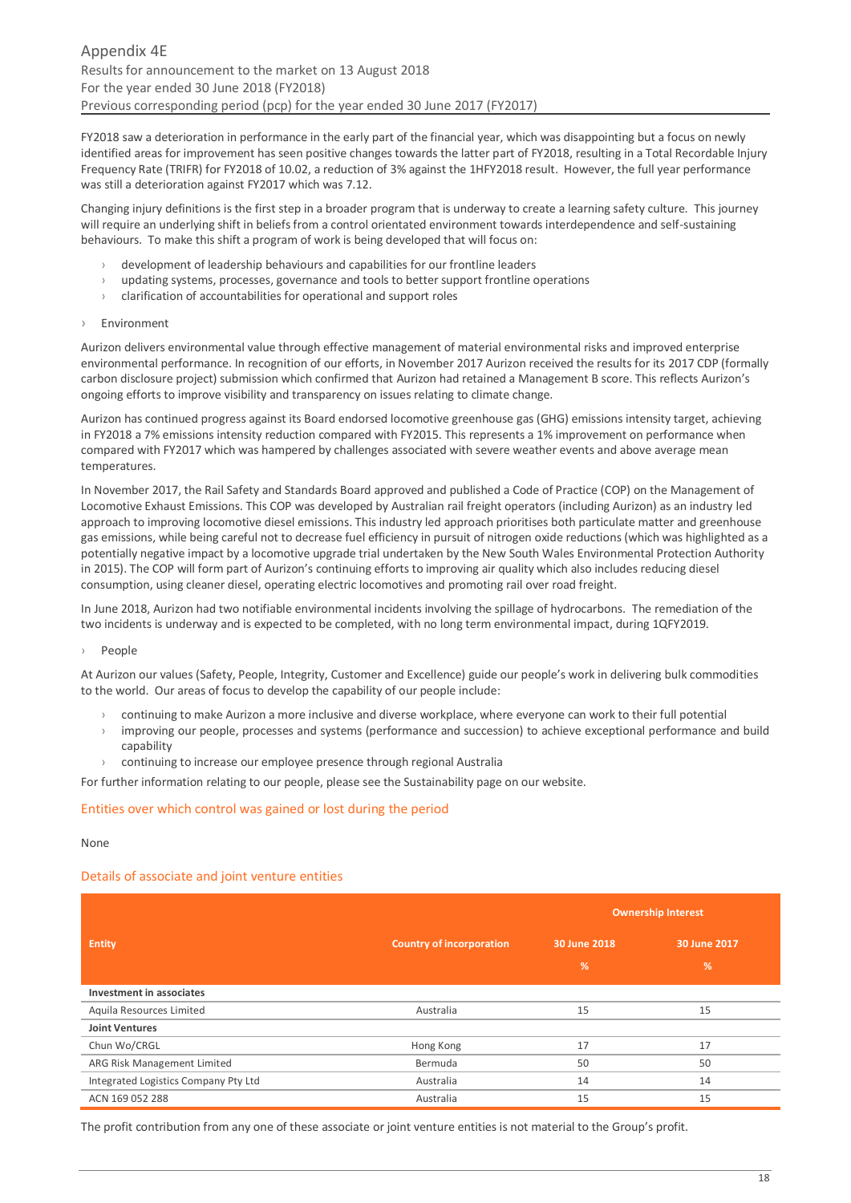FY2018 saw a deterioration in performance in the early part of the financial year, which was disappointing but a focus on newly identified areas for improvement has seen positive changes towards the latter part of FY2018, resulting in a Total Recordable Injury Frequency Rate (TRIFR) for FY2018 of 10.02, a reduction of 3% against the 1HFY2018 result. However, the full year performance was still a deterioration against FY2017 which was 7.12.

Changing injury definitions is the first step in a broader program that is underway to create a learning safety culture. This journey will require an underlying shift in beliefs from a control orientated environment towards interdependence and self-sustaining behaviours. To make this shift a program of work is being developed that will focus on:

- › development of leadership behaviours and capabilities for our frontline leaders
- updating systems, processes, governance and tools to better support frontline operations
- $\rightarrow$  clarification of accountabilities for operational and support roles
- › Environment

Aurizon delivers environmental value through effective management of material environmental risks and improved enterprise environmental performance. In recognition of our efforts, in November 2017 Aurizon received the results for its 2017 CDP (formally carbon disclosure project) submission which confirmed that Aurizon had retained a Management B score. This reflects Aurizon's ongoing efforts to improve visibility and transparency on issues relating to climate change.

Aurizon has continued progress against its Board endorsed locomotive greenhouse gas (GHG) emissions intensity target, achieving in FY2018 a 7% emissions intensity reduction compared with FY2015. This represents a 1% improvement on performance when compared with FY2017 which was hampered by challenges associated with severe weather events and above average mean temperatures.

In November 2017, the Rail Safety and Standards Board approved and published a Code of Practice (COP) on the Management of Locomotive Exhaust Emissions. This COP was developed by Australian rail freight operators (including Aurizon) as an industry led approach to improving locomotive diesel emissions. This industry led approach prioritises both particulate matter and greenhouse gas emissions, while being careful not to decrease fuel efficiency in pursuit of nitrogen oxide reductions (which was highlighted as a potentially negative impact by a locomotive upgrade trial undertaken by the New South Wales Environmental Protection Authority in 2015). The COP will form part of Aurizon's continuing efforts to improving air quality which also includes reducing diesel consumption, using cleaner diesel, operating electric locomotives and promoting rail over road freight.

In June 2018, Aurizon had two notifiable environmental incidents involving the spillage of hydrocarbons. The remediation of the two incidents is underway and is expected to be completed, with no long term environmental impact, during 1QFY2019.

#### › People

At Aurizon our values (Safety, People, Integrity, Customer and Excellence) guide our people's work in delivering bulk commodities to the world. Our areas of focus to develop the capability of our people include:

- › continuing to make Aurizon a more inclusive and diverse workplace, where everyone can work to their full potential
- $\rightarrow$  improving our people, processes and systems (performance and succession) to achieve exceptional performance and build capability
- › continuing to increase our employee presence through regional Australia

For further information relating to our people, please see the Sustainability page on our website.

#### Entities over which control was gained or lost during the period

#### None

#### Details of associate and joint venture entities

|                                      |                                 | <b>Ownership Interest</b> |               |
|--------------------------------------|---------------------------------|---------------------------|---------------|
| <b>Entity</b>                        | <b>Country of incorporation</b> | 30 June 2018              | 30 June 2017  |
|                                      |                                 | %                         | $\frac{9}{6}$ |
| Investment in associates             |                                 |                           |               |
| Aquila Resources Limited             | Australia                       | 15                        | 15            |
| <b>Joint Ventures</b>                |                                 |                           |               |
| Chun Wo/CRGL                         | Hong Kong                       | 17                        | 17            |
| ARG Risk Management Limited          | Bermuda                         | 50                        | 50            |
| Integrated Logistics Company Pty Ltd | Australia                       | 14                        | 14            |
| ACN 169 052 288                      | Australia                       | 15                        | 15            |

The profit contribution from any one of these associate or joint venture entities is not material to the Group's profit.